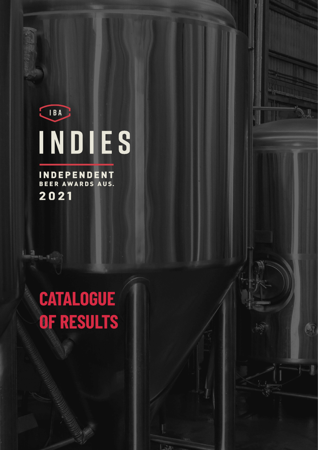IBA INDIES A.

 $\mathbb{R}$ 

**INDEPENDENT**<br>BEER AWARDS AUS. 2021

圖

# **CATALOGUE OF RESULTS**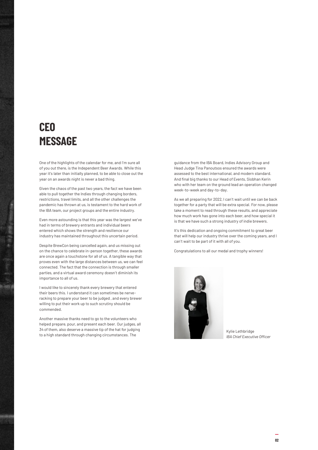# **CEO MESSAGE**

One of the highlights of the calendar for me, and I'm sure all of you out there, is the Independent Beer Awards. While this year it's later than initially planned, to be able to close out the year on an awards night is never a bad thing.

Given the chaos of the past two years, the fact we have been able to pull together the Indies through changing borders, restrictions, travel limits, and all the other challenges the pandemic has thrown at us, is testament to the hard work of the IBA team, our project groups and the entire industry.

Even more astounding is that this year was the largest we've had in terms of brewery entrants and individual beers entered which shows the strength and resilience our industry has maintained throughout this uncertain period.

Despite BrewCon being cancelled again, and us missing out on the chance to celebrate in-person together, these awards are once again a touchstone for all of us. A tangible way that proves even with the large distances between us, we can feel connected. The fact that the connection is through smaller parties, and a virtual award ceremony doesn't diminish its importance to all of us.

I would like to sincerely thank every brewery that entered their beers this. I understand it can sometimes be nerveracking to prepare your beer to be judged , and every brewer willing to put their work up to such scrutiny should be commended.

Another massive thanks need to go to the volunteers who helped prepare, pour, and present each beer. Our judges, all 34 of them, also deserve a massive tip of the hat for judging to a high standard through changing circumstances. The

guidance from the IBA Board, Indies Advisory Group and Head Judge Tina Panoutsos ensured the awards were assessed to the best international, and modern standard. And final big thanks to our Head of Events, Siobhan Kerin who with her team on the ground lead an operation changed week-to-week and day-to-day.

As we all preparing for 2022, I can't wait until we can be back together for a party that will be extra special. For now, please take a moment to read through these results, and appreciate how much work has gone into each beer, and how special it is that we have such a strong industry of indie brewers.

It's this dedication and ongoing commitment to great beer that will help our industry thrive over the coming years, and I can't wait to be part of it with all of you.

Congratulations to all our medal and trophy winners!



Kylie Lethbridge *IBA Chief Executive Officer*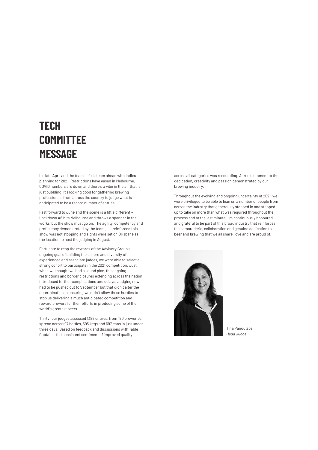# **TECH COMMITTEE MESSAGE**

It's late April and the team is full steam ahead with Indies planning for 2021. Restrictions have eased in Melbourne, COVID numbers are down and there's a vibe in the air that is just bubbling. It's looking good for gathering brewing professionals from across the country to judge what is anticipated to be a record number of entries.

Fast forward to June and the scene is a little different – Lockdown #6 hits Melbourne and throws a spanner in the works, but the show must go on. The agility, competency and proficiency demonstrated by the team just reinforced this show was not stopping and sights were set on Brisbane as the location to host the judging in August.

Fortunate to reap the rewards of the Advisory Group's ongoing goal of building the calibre and diversity of experienced and associate judges, we were able to select a strong cohort to participate in the 2021 competition. Just when we thought we had a sound plan, the ongoing restrictions and border closures extending across the nation introduced further complications and delays. Judging now had to be pushed out to September but that didn't alter the determination in ensuring we didn't allow these hurdles to stop us delivering a much anticipated competition and reward brewers for their efforts in producing some of the world's greatest beers.

Thirty four judges assessed 1389 entries, from 180 breweries spread across 97 bottles, 595 kegs and 697 cans in just under three days. Based on feedback and discussions with Table Captains, the consistent sentiment of improved quality

across all categories was resounding. A true testament to the dedication, creativity and passion demonstrated by our brewing industry.

Throughout the evolving and ongoing uncertainty of 2021, we were privileged to be able to lean on a number of people from across the industry that generously stepped in and stepped up to take on more than what was required throughout the process and at the last minute. I'm continuously honoured and grateful to be part of this broad industry that reinforces the camaraderie, collaboration and genuine dedication to beer and brewing that we all share, love and are proud of.



Tina Panoutsos *Head Judge*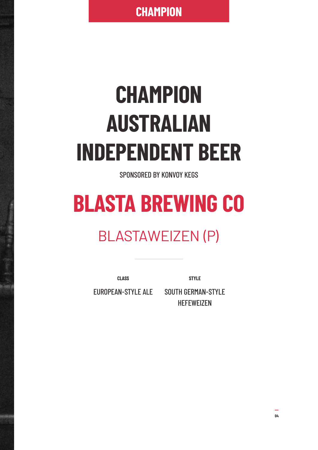**CHAMPION**

# **CHAMPION AUSTRALIAN INDEPENDENT BEER**

SPONSORED BY KONVOY KEGS

# **BLASTA BREWING CO**

# BLASTAWEIZEN (P)

**CLASS**

**STYLE**

EUROPEAN-STYLE ALE

SOUTH GERMAN-STYLE **HEFEWEIZEN**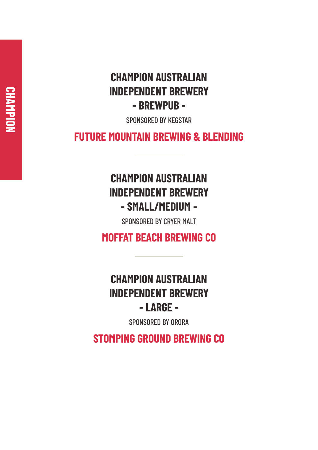### **CHAMPION AUSTRALIAN INDEPENDENT BREWERY - BREWPUB -**

SPONSORED BY KEGSTAR

**FUTURE MOUNTAIN BREWING & BLENDING**

# **CHAMPION AUSTRALIAN INDEPENDENT BREWERY - SMALL/MEDIUM -**

SPONSORED BY CRYER MALT

**MOFFAT BEACH BREWING CO**

# **CHAMPION AUSTRALIAN INDEPENDENT BREWERY - LARGE -**

SPONSORED BY ORORA

**STOMPING GROUND BREWING CO**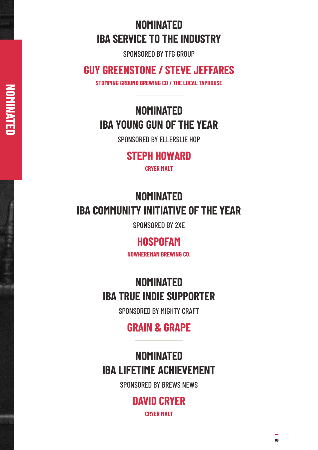# **NOMINATED IBA SERVICE TO THE INDUSTRY**

SPONSORED BY TFG GROUP

#### **GUY GREENSTONE / STEVE JEFFARES**

**STOMPING GROUND BREWING CO / THE LOCAL TAPHOUSE**

**N O**

**MIN**

**AT E D**

# **NOMINATED IBA YOUNG GUN OF THE YEAR**

SPONSORED BY ELLERSLIE HOP

#### **STEPH HOWARD**

**CRYER MALT**

# **NOMINATED IBA COMMUNITY INITIATIVE OF THE YEAR**

SPONSORED BY 2XE

#### **HOSPOFAM**

**NOWHEREMAN BREWING CO.**

## **NOMINATED IBA TRUE INDIE SUPPORTER**

SPONSORED BY MIGHTY CRAFT

### **GRAIN & GRAPE**

### **NOMINATED IBA LIFETIME ACHIEVEMENT**

SPONSORED BY BREWS NEWS

#### **DAVID CRYER CRYER MALT**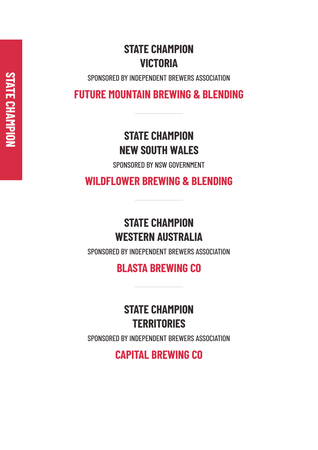# **STATE CHAMPION VICTORIA**

SPONSORED BY INDEPENDENT BREWERS ASSOCIATION

**FUTURE MOUNTAIN BREWING & BLENDING**

### **STATE CHAMPION NEW SOUTH WALES**

SPONSORED BY NSW GOVERNMENT

**WILDFLOWER BREWING & BLENDING**

# **STATE CHAMPION WESTERN AUSTRALIA**

SPONSORED BY INDEPENDENT BREWERS ASSOCIATION

**BLASTA BREWING CO**

# **STATE CHAMPION TERRITORIES**

SPONSORED BY INDEPENDENT BREWERS ASSOCIATION

**CAPITAL BREWING CO**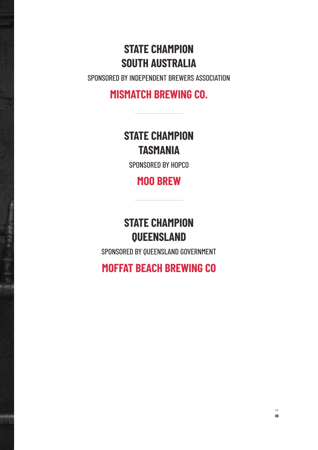## **STATE CHAMPION SOUTH AUSTRALIA**

SPONSORED BY INDEPENDENT BREWERS ASSOCIATION

#### **MISMATCH BREWING CO.**

### **STATE CHAMPION TASMANIA**

SPONSORED BY HOPCO

### **MOO BREW**

### **STATE CHAMPION QUEENSLAND**

SPONSORED BY QUEENSLAND GOVERNMENT

**MOFFAT BEACH BREWING CO**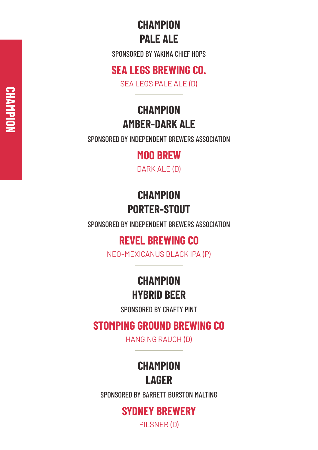### **CHAMPION PALE ALE**

SPONSORED BY YAKIMA CHIEF HOPS

#### **SEA LEGS BREWING CO.**

SEA LEGS PALE ALE (D)

# **CHAMPION AMBER-DARK ALE**

SPONSORED BY INDEPENDENT BREWERS ASSOCIATION

#### **MOO BREW**

DARK ALE (D)

## **CHAMPION PORTER-STOUT**

SPONSORED BY INDEPENDENT BREWERS ASSOCIATION

#### **REVEL BREWING CO**

NEO-MEXICANUS BLACK IPA (P)

## **CHAMPION HYBRID BEER**

SPONSORED BY CRAFTY PINT

### **STOMPING GROUND BREWING CO**

HANGING RAUCH (D)

# **CHAMPION LAGER**

SPONSORED BY BARRETT BURSTON MALTING

#### **SYDNEY BREWERY**

PILSNER (D)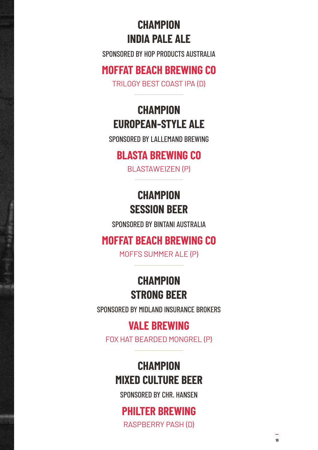# **CHAMPION INDIA PALE ALE**

SPONSORED BY HOP PRODUCTS AUSTRALIA

#### **MOFFAT BEACH BREWING CO**

TRILOGY BEST COAST IPA (D)

# **CHAMPION EUROPEAN-STYLE ALE**

SPONSORED BY LALLEMAND BREWING

#### **BLASTA BREWING CO**

BLASTAWEIZEN (P)

### **CHAMPION SESSION BEER**

SPONSORED BY BINTANI AUSTRALIA

#### **MOFFAT BEACH BREWING CO**

MOFFS SUMMER ALE (P)

### **CHAMPION STRONG BEER**

SPONSORED BY MIDLAND INSURANCE BROKERS

#### **VALE BREWING**

FOX HAT BEARDED MONGREL (P)

### **CHAMPION MIXED CULTURE BEER**

SPONSORED BY CHR. HANSEN

# **PHILTER BREWING**

RASPBERRY PASH (D)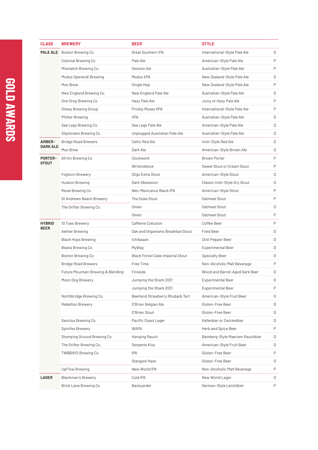| <b>CLASS</b>    | <b>BREWERY</b>                                | <b>BEER</b>                             | <b>STYLE</b>                    |   |
|-----------------|-----------------------------------------------|-----------------------------------------|---------------------------------|---|
|                 | <b>PALE ALE</b> Boston Brewing Co             | Great Southern IPA                      | International-Style Pale Ale    | D |
|                 | Colonial Brewing Co                           | Pale Ale                                | American-Style Pale Ale         | P |
|                 | Mismatch Brewing Co.                          | Session Ale                             | Australian-Style Pale Ale       | P |
|                 | Modus Operandi Brewing                        | Modus XPA                               | New Zealand-Style Pale Ale      | D |
|                 | Moo Brew                                      | Single Hop                              | New Zealand-Style Pale Ale      | P |
|                 | New England Brewing Co.                       | New England Pale Ale                    | Australian-Style Pale Ale       | D |
|                 | One Drop Brewing Co                           | Hazy Pale Ale                           | Juicy or Hazy Pale Ale          | P |
|                 | Otway Brewing Group                           | Prickly Moses XPA                       | International-Style Pale Ale    | P |
|                 | Philter Brewing                               | <b>XPA</b>                              | Australian-Style Pale Ale       | D |
|                 | Sea Legs Brewing Co.                          | Sea Legs Pale Ale                       | American-Style Pale Ale         | D |
|                 | Slipstream Brewing Co                         | Unplugged Australian Pale Ale           | Australian-Style Pale Ale       | D |
| <b>AMBER-</b>   | <b>Bridge Road Brewers</b>                    | Celtic Red Ale                          | Irish-Style Red Ale             | D |
| <b>DARK ALE</b> | Moo Brew                                      | Dark Ale                                | American-Style Brown Ale        | D |
| <b>PORTER-</b>  | All Inn Brewing Co                            | Clockwork                               | <b>Brown Porter</b>             | P |
| STOUT           |                                               | Writersblock                            | Sweet Stout or Cream Stout      | P |
|                 | Foghorn Brewery                               | Sligo Extra Stout                       | American-Style Stout            | D |
|                 | Hudson Brewing                                | Dark Obsession                          | Classic Irish-Style Dry Stout   | D |
|                 | Revel Brewing Co                              | Neo-Mexicanus Black IPA                 | American-Style Stout            | P |
|                 | St Andrews Beach Brewery                      | The Duke Stout                          | Oatmeal Stout                   | P |
|                 | The Grifter Brewing Co.                       | Omen                                    | Oatmeal Stout                   | D |
|                 |                                               | Omen                                    | Oatmeal Stout                   | P |
| <b>HYBRID</b>   | 10 Toes Brewery                               | Caffeine Collusion                      | Coffee Beer                     | P |
| <b>BEER</b>     | Aether Brewing                                | Oak and Organisms Breakfast Stout       | Field Beer                      | D |
|                 | <b>Black Hops Brewing</b>                     | Ichibaaan                               | Chili Pepper Beer               | D |
|                 | Blasta Brewing Co                             | MyWay                                   | <b>Experimental Beer</b>        | D |
|                 | <b>Boston Brewing Co</b>                      | <b>Black Forest Cake Imperial Stout</b> | <b>Specialty Beer</b>           | D |
|                 | <b>Bridge Road Brewers</b>                    | Free Time                               | Non-Alcoholic Malt Beverage     | P |
|                 | <b>Future Mountain Brewing &amp; Blending</b> | Fireside                                | Wood and Barrel-Aged Dark Beer  | D |
|                 | Moon Dog Brewery                              | Jumping the Shark 2021                  | Experimental Beer               | D |
|                 |                                               | Jumping the Shark 2021                  | <b>Experimental Beer</b>        | P |
|                 | Northbridge Brewing Co.                       | Beerland Strawberry Rhubarb Tart        | American-Style Fruit Beer       | D |
|                 | <b>Rebellion Brewery</b>                      | O'Brien Belgian Ale                     | Gluten-Free Beer                | D |
|                 |                                               | O'Brien Stout                           | Gluten-Free Beer                | D |
|                 | Sanctus Brewing Co                            | Pacific Coast Lager                     | Kellerbier or Zwickelbier       | D |
|                 | Spinifex Brewery                              | <b>WAPA</b>                             | Herb and Spice Beer             | P |
|                 | Stomping Ground Brewing Co                    | Hanging Rauch                           | Bamberg-Style Maerzen Rauchbier | D |
|                 | The Grifter Brewing Co.                       | Serpents Kiss                           | American-Style Fruit Beer       | D |
|                 | <b>TWØBAYS Brewing Co</b>                     | <b>IPA</b>                              | Gluten-Free Beer                | P |
|                 |                                               | Stargaze Haze                           | Gluten-Free Beer                | D |
|                 | <b>UpFlow Brewing</b>                         | New World IPA                           | Non-Alcoholic Malt Beverage     | P |
| LAGER           | <b>Blackman's Brewery</b>                     | Cold IPA                                | New World Lager                 | D |
|                 | Brick Lane Brewing Co                         | Backyarder                              | German-Style Leichtbier         | P |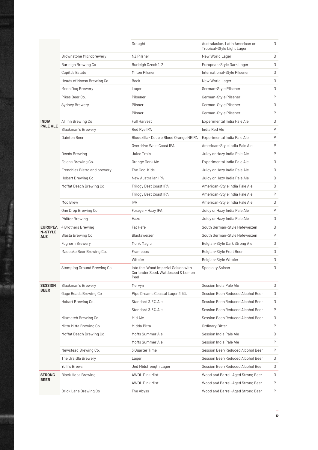|                              |                                | Draught                                                                           | Australasian, Latin American or<br>Tropical-Style Light Lager | D |
|------------------------------|--------------------------------|-----------------------------------------------------------------------------------|---------------------------------------------------------------|---|
|                              | <b>Brownstone Microbrewery</b> | NZ Pilsner                                                                        | New World Lager                                               | D |
|                              | Burleigh Brewing Co            | Burleigh Czech 1, 2                                                               | European-Style Dark Lager                                     | D |
|                              | Cupitt's Estate                | Milton Pilsner                                                                    | International-Style Pilsener                                  | D |
|                              | Heads of Noosa Brewing Co      | Bock                                                                              | New World Lager                                               | D |
|                              | Moon Dog Brewery               | Lager                                                                             | German-Style Pilsener                                         | D |
|                              | Pikes Beer Co.                 | Pilsener                                                                          | German-Style Pilsener                                         | P |
|                              | Sydney Brewery                 | Pilsner                                                                           | German-Style Pilsener                                         | D |
|                              |                                | Pilsner                                                                           | German-Style Pilsener                                         | P |
| <b>INDIA</b>                 | All Inn Brewing Co             | <b>Full Harvest</b>                                                               | Experimental India Pale Ale                                   | D |
| <b>PALE ALE</b>              | <b>Blackman's Brewery</b>      | Red Rye IPA                                                                       | India Red Ale                                                 | P |
|                              | Dainton Beer                   | Bloodzilla-Double Blood Orange NEIPA                                              | Experimental India Pale Ale                                   | P |
|                              |                                | Overdrive West Coast IPA                                                          | American-Style India Pale Ale                                 | P |
|                              | Deeds Brewing                  | Juice Train                                                                       | Juicy or Hazy India Pale Ale                                  | P |
|                              | Felons Brewing Co.             | Orange Dark Ale                                                                   | Experimental India Pale Ale                                   | D |
|                              | Frenchies Bistro and brewery   | The Cool Kids                                                                     | Juicy or Hazy India Pale Ale                                  | D |
|                              | Hobart Brewing Co.             | New Australian IPA                                                                | Juicy or Hazy India Pale Ale                                  | D |
|                              | Moffat Beach Brewing Co        | Trilogy Best Coast IPA                                                            | American-Style India Pale Ale                                 | D |
|                              |                                | Trilogy Best Coast IPA                                                            | American-Style India Pale Ale                                 | P |
|                              | Moo Brew                       | <b>IPA</b>                                                                        | American-Style India Pale Ale                                 | D |
|                              | One Drop Brewing Co            | Forager-Hazy IPA                                                                  | Juicy or Hazy India Pale Ale                                  | P |
|                              | <b>Philter Brewing</b>         | Haze                                                                              | Juicy or Hazy India Pale Ale                                  | D |
| <b>EUROPEA</b>               | 4 Brothers Brewing             | Fat Hefe                                                                          | South German-Style Hefeweizen                                 | D |
| <b>N-STYLE</b><br><b>ALE</b> | Blasta Brewing Co              | Blastaweizen                                                                      | South German-Style Hefeweizen                                 | P |
|                              | Foghorn Brewery                | Monk Magic                                                                        | Belgian-Style Dark Strong Ale                                 | D |
|                              | Madocke Beer Brewing Co.       | Framboos                                                                          | Belgian-Style Fruit Beer                                      | D |
|                              |                                | Witbier                                                                           | Belgian-Style Witbier                                         | D |
|                              | Stomping Ground Brewing Co     | Into the 'Wood Imperial Saison with<br>Coriander Seed, Wattleseed & Lemon<br>Peel | <b>Specialty Saison</b>                                       | D |
| <b>SESSION</b>               | <b>Blackman's Brewery</b>      | Mervyn                                                                            | Session India Pale Ale                                        | D |
| <b>BEER</b>                  | Gage Roads Brewing Co          | Pipe Dreams Coastal Lager 3.5%                                                    | Session Beer/Reduced Alcohol Beer                             | D |
|                              | Hobart Brewing Co.             | Standard 3.5% Ale                                                                 | Session Beer/Reduced Alcohol Beer                             | D |
|                              |                                | Standard 3.5% Ale                                                                 | Session Beer/Reduced Alcohol Beer                             | P |
|                              | Mismatch Brewing Co.           | Mid Ale                                                                           | Session Beer/Reduced Alcohol Beer                             | D |
|                              | Mitta Mitta Brewing Co.        | Midda Bitta                                                                       | Ordinary Bitter                                               | P |
|                              | Moffat Beach Brewing Co        | Moffs Summer Ale                                                                  | Session India Pale Ale                                        | D |
|                              |                                | Moffs Summer Ale                                                                  | Session India Pale Ale                                        | P |
|                              | Newstead Brewing Co.           | 3 Quarter Time                                                                    | Session Beer/Reduced Alcohol Beer                             | P |
|                              | The Uraidla Brewery            | Lager                                                                             | Session Beer/Reduced Alcohol Beer                             | D |
|                              | Yulli's Brews                  | Jed Midstrength Lager                                                             | Session Beer/Reduced Alcohol Beer                             | D |
| <b>STRONG</b>                | <b>Black Hops Brewing</b>      | <b>AWOL Pink Mist</b>                                                             | Wood and Barrel-Aged Strong Beer                              | D |
| <b>BEER</b>                  |                                | AWOL Pink Mist                                                                    | Wood and Barrel-Aged Strong Beer                              | P |
|                              | Brick Lane Brewing Co          | The Abyss                                                                         | Wood and Barrel-Aged Strong Beer                              | P |
|                              |                                |                                                                                   |                                                               |   |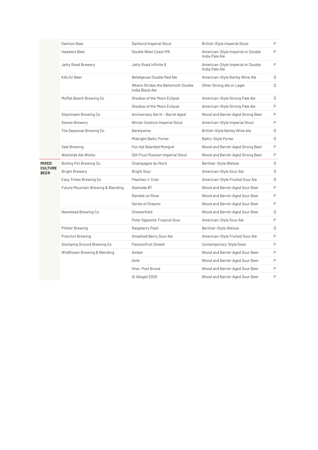|                                               | Dainton Beer                       | Darklord Imperial Stout                              | British-Style Imperial Stout                        | P |
|-----------------------------------------------|------------------------------------|------------------------------------------------------|-----------------------------------------------------|---|
|                                               | Hawkers Beer                       | Double West Coast IPA                                | American-Style Imperial or Double<br>India Pale Ale | P |
|                                               | Jetty Road Brewery                 | Jetty Road Infinite 8                                | American-Style Imperial or Double<br>India Pale Ale | P |
|                                               | KAIJU! Beer                        | Betelgeuse Double Red Ale                            | American-Style Barley Wine Ale                      | D |
|                                               |                                    | Where Strides the Behemoth Double<br>India Black Ale | Other Strong Ale or Lager                           | D |
|                                               | Moffat Beach Brewing Co            | Shadow of the Moon Eclipse                           | American-Style Strong Pale Ale                      | D |
|                                               |                                    | Shadow of the Moon Eclipse                           | American-Style Strong Pale Ale                      | P |
|                                               | Slipstream Brewing Co              | Anniversary Ale III - Barrel Aged                    | Wood and Barrel-Aged Strong Beer                    | P |
|                                               | <b>Staves Brewery</b>              | Winter Solstice Imperial Stout                       | American-Style Imperial Stout                       | P |
|                                               | The Seasonal Brewing Co            | Barelywine                                           | British-Style Barley Wine Ale                       | D |
|                                               |                                    | Midnight Baltic Porter                               | Baltic-Style Porter                                 | D |
|                                               | Vale Brewing                       | Fox Hat Bearded Mongrel                              | Wood and Barrel-Aged Strong Beer                    | P |
|                                               | Westside Ale Works                 | <b>IDA Pruul Russian Imperial Stout</b>              | Wood and Barrel-Aged Strong Beer                    | P |
| <b>MIXED</b><br><b>CULTURE</b><br><b>BEER</b> | Boiling Pot Brewing Co.            | Champagne du Nord                                    | Berliner-Style Weisse                               | D |
|                                               |                                    |                                                      |                                                     |   |
|                                               | <b>Bright Brewery</b>              | <b>Bright Sour</b>                                   | American-Style Sour Ale                             | D |
|                                               | Easy Times Brewing Co              | Peaches n' Cran                                      | American-Style Fruited Sour Ale                     | D |
|                                               | Future Mountain Brewing & Blending | Alameda #7                                           | Wood and Barrel-Aged Sour Beer                      | P |
|                                               |                                    | Ramble on Rose                                       | Wood and Barrel-Aged Sour Beer                      | P |
|                                               |                                    | Series of Dreams                                     | Wood and Barrel-Aged Sour Beer                      | P |
|                                               | Newstead Brewing Co.               | Chesterfield                                         | Wood and Barrel-Aged Sour Beer                      | D |
|                                               |                                    | Polar Opposite Tropical Sour                         | American-Style Sour Ale                             | P |
|                                               | <b>Philter Brewing</b>             | Raspberry Pash                                       | Berliner-Style Weisse                               | D |
|                                               | <b>Precinct Brewing</b>            | Smashed Berry Sour Ale                               | American-Style Fruited Sour Ale                     | P |
|                                               | Stomping Ground Brewing Co         | Passionfruit Smash                                   | Contemporary-Style Gose                             | P |
|                                               | Wildflower Brewing & Blending      | Amber                                                | Wood and Barrel-Aged Sour Beer                      | P |
|                                               |                                    | Gold                                                 | Wood and Barrel-Aged Sour Beer                      | P |
|                                               |                                    | Hive: Post Brood                                     | Wood and Barrel-Aged Sour Beer                      | P |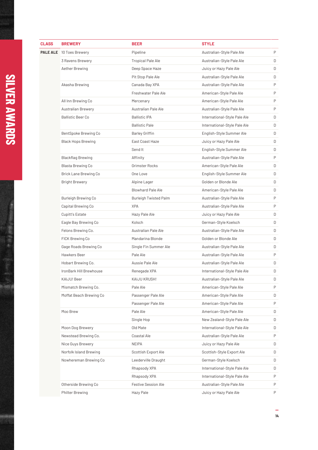| <b>CLASS</b> | <b>BREWERY</b>                  | <b>BEER</b>                | <b>STYLE</b>                 |   |
|--------------|---------------------------------|----------------------------|------------------------------|---|
|              | <b>PALE ALE</b> 10 Toes Brewery | Pipeline                   | Australian-Style Pale Ale    | P |
|              | 3 Ravens Brewery                | <b>Tropical Pale Ale</b>   | Australian-Style Pale Ale    | D |
|              | Aether Brewing                  | Deep Space Haze            | Juicy or Hazy Pale Ale       | D |
|              |                                 | Pit Stop Pale Ale          | Australian-Style Pale Ale    | D |
|              | Akasha Brewing                  | Canada Bay XPA             | Australian-Style Pale Ale    | P |
|              |                                 | Freshwater Pale Ale        | American-Style Pale Ale      | P |
|              | All Inn Brewing Co              | Mercenary                  | American-Style Pale Ale      | P |
|              | <b>Australian Brewery</b>       | Australian Pale Ale        | Australian-Style Pale Ale    | P |
|              | <b>Ballistic Beer Co</b>        | <b>Ballistic IPA</b>       | International-Style Pale Ale | D |
|              |                                 | <b>Ballistic Pale</b>      | International-Style Pale Ale | D |
|              | BentSpoke Brewing Co            | <b>Barley Griffin</b>      | English-Style Summer Ale     | D |
|              | <b>Black Hops Brewing</b>       | East Coast Haze            | Juicy or Hazy Pale Ale       | D |
|              |                                 | Send It                    | English-Style Summer Ale     | D |
|              | <b>Blackflag Brewing</b>        | Affinity                   | Australian-Style Pale Ale    | P |
|              | Blasta Brewing Co               | Grimster Rocks             | American-Style Pale Ale      | D |
|              | Brick Lane Brewing Co           | One Love                   | English-Style Summer Ale     | D |
|              | <b>Bright Brewery</b>           | Alpine Lager               | Golden or Blonde Ale         | D |
|              |                                 | <b>Blowhard Pale Ale</b>   | American-Style Pale Ale      | D |
|              | Burleigh Brewing Co             | Burleigh Twisted Palm      | Australian-Style Pale Ale    | P |
|              | Capital Brewing Co              | <b>XPA</b>                 | Australian-Style Pale Ale    | P |
|              | <b>Cupitt's Estate</b>          | Hazy Pale Ale              | Juicy or Hazy Pale Ale       | D |
|              | Eagle Bay Brewing Co            | Kolsch                     | German-Style Koelsch         | D |
|              | Felons Brewing Co.              | Australian Pale Ale        | Australian-Style Pale Ale    | D |
|              | FICK Brewing Co                 | Mandarina Blonde           | Golden or Blonde Ale         | D |
|              | Gage Roads Brewing Co           | Single Fin Summer Ale      | Australian-Style Pale Ale    | D |
|              | Hawkers Beer                    | Pale Ale                   | Australian-Style Pale Ale    | P |
|              | Hobart Brewing Co.              | Aussie Pale Ale            | Australian-Style Pale Ale    | D |
|              | IronBark Hill Brewhouse         | Renegade XPA               | International-Style Pale Ale | D |
|              | KAIJU! Beer                     | KAIJU KRUSH!               | Australian-Style Pale Ale    | D |
|              | Mismatch Brewing Co.            | Pale Ale                   | American-Style Pale Ale      | Ρ |
|              | Moffat Beach Brewing Co         | Passenger Pale Ale         | American-Style Pale Ale      | D |
|              |                                 | Passenger Pale Ale         | American-Style Pale Ale      | P |
|              | Moo Brew                        | Pale Ale                   | American-Style Pale Ale      | D |
|              |                                 | Single Hop                 | New Zealand-Style Pale Ale   | D |
|              | Moon Dog Brewery                | Old Mate                   | International-Style Pale Ale | D |
|              | Newstead Brewing Co.            | Coastal Ale                | Australian-Style Pale Ale    | P |
|              | Nice Guys Brewery               | <b>NEIPA</b>               | Juicy or Hazy Pale Ale       | D |
|              | Norfolk Island Brewing          | Scottish Export Ale        | Scottish-Style Export Ale    | D |
|              | Nowhereman Brewing Co           | Leederville Draught        | German-Style Koelsch         | D |
|              |                                 | Rhapsody XPA               | International-Style Pale Ale | D |
|              |                                 | Rhapsody XPA               | International-Style Pale Ale | Ρ |
|              | Otherside Brewing Co            | <b>Festive Session Ale</b> | Australian-Style Pale Ale    | P |
|              | <b>Philter Brewing</b>          | Hazy Pale                  | Juicy or Hazy Pale Ale       | P |

#### <u>C</u> **E R A W A R D S**

● 出版 出版社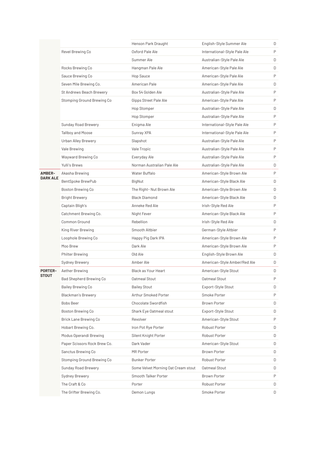|                 |                              | Henson Park Draught                 | English-Style Summer Ale     | D |
|-----------------|------------------------------|-------------------------------------|------------------------------|---|
|                 | Revel Brewing Co             | Oxford Pale Ale                     | International-Style Pale Ale | P |
|                 |                              | Summer Ale                          | Australian-Style Pale Ale    | D |
|                 | Rocks Brewing Co             | Hangman Pale Ale                    | American-Style Pale Ale      | D |
|                 | Sauce Brewing Co             | Hop Sauce                           | American-Style Pale Ale      | P |
|                 | Seven Mile Brewing Co.       | American Pale                       | American-Style Pale Ale      | D |
|                 | St Andrews Beach Brewery     | Box 54 Golden Ale                   | Australian-Style Pale Ale    | P |
|                 | Stomping Ground Brewing Co   | Gipps Street Pale Ale               | American-Style Pale Ale      | P |
|                 |                              | Hop Stomper                         | Australian-Style Pale Ale    | D |
|                 |                              | Hop Stomper                         | Australian-Style Pale Ale    | P |
|                 | Sunday Road Brewery          | Enigma Ale                          | International-Style Pale Ale | P |
|                 | <b>Tallboy and Moose</b>     | Sunray XPA                          | International-Style Pale Ale | P |
|                 | <b>Urban Alley Brewery</b>   | Slapshot                            | Australian-Style Pale Ale    | P |
|                 | Vale Brewing                 | Vale Tropic                         | Australian-Style Pale Ale    | P |
|                 | Wayward Brewing Co           | Everyday Ale                        | Australian-Style Pale Ale    | P |
|                 | Yulli's Brews                | Norman Australian Pale Ale          | Australian-Style Pale Ale    | D |
| AMBER-          | Akasha Brewing               | Water Buffalo                       | American-Style Brown Ale     | P |
| <b>DARK ALE</b> | BentSpoke BrewPub            | BigNut                              | American-Style Black Ale     | D |
|                 | <b>Boston Brewing Co</b>     | The Right- Nut Brown Ale            | American-Style Brown Ale     | D |
|                 | <b>Bright Brewery</b>        | <b>Black Diamond</b>                | American-Style Black Ale     | D |
|                 | Captain Bligh's              | Anneke Red Ale                      | Irish-Style Red Ale          | P |
|                 | Catchment Brewing Co.        | Night Fever                         | American-Style Black Ale     | P |
|                 | <b>Common Ground</b>         | Rebellion                           | Irish-Style Red Ale          | D |
|                 | King River Brewing           | Smooth Altbier                      | German-Style Altbier         | P |
|                 | Loophole Brewing Co          | Happy Pig Dark IPA                  | American-Style Brown Ale     | P |
|                 | Moo Brew                     | Dark Ale                            | American-Style Brown Ale     | P |
|                 | <b>Philter Brewing</b>       | Old Ale                             | English-Style Brown Ale      | D |
|                 | Sydney Brewery               | Amber Ale                           | American-Style Amber/Red Ale | D |
| <b>PORTER-</b>  | Aether Brewing               | Black as Your Heart                 | American-Style Stout         | D |
| <b>STOUT</b>    | Bad Shepherd Brewing Co      | Oatmeal Stout                       | Oatmeal Stout                | P |
|                 | Bailey Brewing Co            | <b>Bailey Stout</b>                 | Export-Style Stout           | D |
|                 | <b>Blackman's Brewery</b>    | Arthur Smoked Porter                | Smoke Porter                 | P |
|                 | <b>Bobs Beer</b>             | Chocolate Swordfish                 | <b>Brown Porter</b>          | D |
|                 | <b>Boston Brewing Co</b>     | Shark Eye Oatmeal stout             | Export-Style Stout           | D |
|                 | Brick Lane Brewing Co        | Revolver                            | American-Style Stout         | P |
|                 | Hobart Brewing Co.           | Iron Pot Rye Porter                 | Robust Porter                | D |
|                 | Modus Operandi Brewing       | Silent Knight Porter                | Robust Porter                | D |
|                 | Paper Scissors Rock Brew Co. | Dark Vader                          | American-Style Stout         | D |
|                 | Sanctus Brewing Co           | MR Porter                           | Brown Porter                 | D |
|                 | Stomping Ground Brewing Co   | <b>Bunker Porter</b>                | Robust Porter                | D |
|                 | Sunday Road Brewery          | Some Velvet Morning Oat Cream stout | Oatmeal Stout                | D |
|                 | Sydney Brewery               | Smooth Talker Porter                | Brown Porter                 | P |
|                 | The Craft & Co               | Porter                              | Robust Porter                | D |
|                 | The Grifter Brewing Co.      | Demon Lungs                         | Smoke Porter                 | D |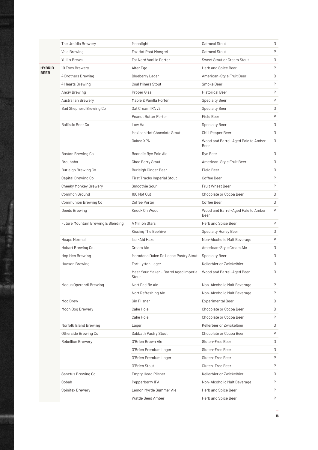|             | The Uraidla Brewery                | Moonlight                                                                 | Oatmeal Stout                              | D |
|-------------|------------------------------------|---------------------------------------------------------------------------|--------------------------------------------|---|
|             | Vale Brewing                       | Fox Hat Phat Mongrel                                                      | Oatmeal Stout                              | P |
|             | Yulli's Brews                      | Fat Nerd Vanilla Porter                                                   | Sweet Stout or Cream Stout                 | D |
| HYBRID      | 10 Toes Brewery                    | Alter Ego                                                                 | Herb and Spice Beer                        | P |
| <b>BEER</b> | 4 Brothers Brewing                 | <b>Blueberry Lager</b>                                                    | American-Style Fruit Beer                  | D |
|             | 4 Hearts Brewing                   | <b>Coal Miners Stout</b>                                                  | Smoke Beer                                 | P |
|             | Anciv Brewing                      | Proper Giza                                                               | <b>Historical Beer</b>                     | P |
|             | <b>Australian Brewery</b>          | Maple & Vanilla Porter                                                    | <b>Specialty Beer</b>                      | P |
|             | Bad Shepherd Brewing Co            | Oat Cream IPA v2                                                          | <b>Specialty Beer</b>                      | D |
|             |                                    | <b>Peanut Butter Porter</b>                                               | <b>Field Beer</b>                          | P |
|             | <b>Ballistic Beer Co</b>           | Low Ha                                                                    | <b>Specialty Beer</b>                      | D |
|             |                                    | Mexican Hot Chocolate Stout                                               | Chili Pepper Beer                          | D |
|             |                                    | Oaked XPA                                                                 | Wood and Barrel-Aged Pale to Amber<br>Beer | D |
|             | Boston Brewing Co                  | Boondie Rye Pale Ale                                                      | Rye Beer                                   | D |
|             | <b>Brouhaha</b>                    | Choc Berry Stout                                                          | American-Style Fruit Beer                  | D |
|             | Burleigh Brewing Co                | Burleigh Ginger Beer                                                      | <b>Field Beer</b>                          | D |
|             | Capital Brewing Co                 | First Tracks Imperial Stout                                               | Coffee Beer                                | P |
|             | Cheeky Monkey Brewery              | Smoothie Sour                                                             | <b>Fruit Wheat Beer</b>                    | P |
|             | <b>Common Ground</b>               | 100 Not Out                                                               | Chocolate or Cocoa Beer                    | D |
|             | Communion Brewing Co               | Coffee Porter                                                             | Coffee Beer                                | D |
|             | Deeds Brewing                      | Knock On Wood                                                             | Wood and Barrel-Aged Pale to Amber<br>Beer | P |
|             | Future Mountain Brewing & Blending | A Million Stars                                                           | Herb and Spice Beer                        | P |
|             |                                    | Kissing The Beehive                                                       | <b>Specialty Honey Beer</b>                | D |
|             | Heaps Normal                       | Isol-Aid Haze                                                             | Non-Alcoholic Malt Beverage                | P |
|             | Hobart Brewing Co.                 | Cream Ale                                                                 | American-Style Cream Ale                   | D |
|             | Hop Hen Brewing                    | Maradona Dulce De Leche Pastry Stout                                      | <b>Specialty Beer</b>                      | D |
|             | Hudson Brewing                     | Fort Lytton Lager                                                         | Kellerbier or Zwickelbier                  | D |
|             |                                    | Meet Your Maker - Barrel Aged Imperial Wood and Barrel-Aged Beer<br>Stout |                                            | D |
|             | Modus Operandi Brewing             | Nort Pacific Ale                                                          | Non-Alcoholic Malt Beverage                | P |
|             |                                    | Nort Refreshing Ale                                                       | Non-Alcoholic Malt Beverage                | P |
|             | Moo Brew                           | Gin Pilsner                                                               | <b>Experimental Beer</b>                   | D |
|             | Moon Dog Brewery                   | Cake Hole                                                                 | Chocolate or Cocoa Beer                    | D |
|             |                                    | Cake Hole                                                                 | Chocolate or Cocoa Beer                    | P |
|             | Norfolk Island Brewing             | Lager                                                                     | Kellerbier or Zwickelbier                  | D |
|             | Otherside Brewing Co               | Sabbath Pastry Stout                                                      | Chocolate or Cocoa Beer                    | P |
|             | <b>Rebellion Brewery</b>           | O'Brien Brown Ale                                                         | Gluten-Free Beer                           | D |
|             |                                    | O'Brien Premium Lager                                                     | Gluten-Free Beer                           | D |
|             |                                    | O'Brien Premium Lager                                                     | Gluten-Free Beer                           | P |
|             |                                    | O'Brien Stout                                                             | Gluten-Free Beer                           | P |
|             | Sanctus Brewing Co                 | <b>Empty Head Pilsner</b>                                                 | Kellerbier or Zwickelbier                  | D |
|             | Sobah                              | Pepperberry IPA                                                           | Non-Alcoholic Malt Beverage                | P |
|             | Spinifex Brewery                   | Lemon Myrtle Summer Ale                                                   | Herb and Spice Beer                        | P |
|             |                                    | Wattle Seed Amber                                                         | Herb and Spice Beer                        | P |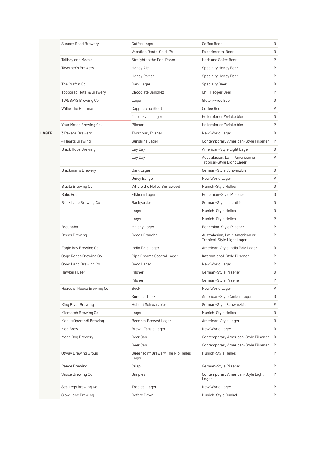|              | Sunday Road Brewery          | Coffee Lager                                | Coffee Beer                                                   | D            |
|--------------|------------------------------|---------------------------------------------|---------------------------------------------------------------|--------------|
|              |                              | Vacation Rental Cold IPA                    | <b>Experimental Beer</b>                                      | D            |
|              | Tallboy and Moose            | Straight to the Pool Room                   | Herb and Spice Beer                                           | P            |
|              | Taverner's Brewery           | Honey Ale                                   | Specialty Honey Beer                                          | P            |
|              |                              | Honey Porter                                | <b>Specialty Honey Beer</b>                                   | P            |
|              | The Craft & Co               | Dark Lager                                  | <b>Specialty Beer</b>                                         | D            |
|              | Tooborac Hotel & Brewery     | <b>Chocolate Sanchez</b>                    | Chili Pepper Beer                                             | P            |
|              | <b>TWØBAYS Brewing Co</b>    | Lager                                       | Gluten-Free Beer                                              | D            |
|              | Willie The Boatman           | Cappuccino Stout                            | Coffee Beer                                                   | P            |
|              |                              | Marrickville Lager                          | Kellerbier or Zwickelbier                                     | D            |
|              | Your Mates Brewing Co.       | Pilsner                                     | Kellerbier or Zwickelbier                                     | P            |
| <b>LAGER</b> | 3 Ravens Brewery             | <b>Thornbury Pilsner</b>                    | New World Lager                                               | D            |
|              | 4 Hearts Brewing             | Sunshine Lager                              | Contemporary American-Style Pilsener                          | $\mathsf{P}$ |
|              | <b>Black Hops Brewing</b>    | Lay Day                                     | American-Style Light Lager                                    | D            |
|              |                              | Lay Day                                     | Australasian, Latin American or<br>Tropical-Style Light Lager | P            |
|              | <b>Blackman's Brewery</b>    | Dark Lager                                  | German-Style Schwarzbier                                      | D            |
|              |                              | Juicy Banger                                | New World Lager                                               | P            |
|              | Blasta Brewing Co            | Where the Helles Burrswood                  | Munich-Style Helles                                           | D            |
|              | <b>Bobs Beer</b>             | Elkhorn Lager                               | Bohemian-Style Pilsener                                       | D            |
|              | <b>Brick Lane Brewing Co</b> | Backyarder                                  | German-Style Leichtbier                                       | D            |
|              |                              | Lager                                       | Munich-Style Helles                                           | D            |
|              |                              | Lager                                       | Munich-Style Helles                                           | P            |
|              | <b>Brouhaha</b>              | Maleny Lager                                | Bohemian-Style Pilsener                                       | P            |
|              | Deeds Brewing                | Deeds Draught                               | Australasian, Latin American or<br>Tropical-Style Light Lager | P            |
|              | Eagle Bay Brewing Co         | India Pale Lager                            | American-Style India Pale Lager                               | D            |
|              | Gage Roads Brewing Co        | Pipe Dreams Coastal Lager                   | International-Style Pilsener                                  | P            |
|              | Good Land Brewing Co         | Good Lager                                  | New World Lager                                               | P            |
|              | Hawkers Beer                 | Pilsner                                     | German-Style Pilsener                                         | D            |
|              |                              | Pilsner                                     | German-Style Pilsener                                         | P            |
|              | Heads of Noosa Brewing Co    | <b>Bock</b>                                 | New World Lager                                               | P            |
|              |                              | Summer Dusk                                 | American-Style Amber Lager                                    | D            |
|              | King River Brewing           | <b>Helmut Schwarzbier</b>                   | German-Style Schwarzbier                                      | P            |
|              | Mismatch Brewing Co.         | Lager                                       | Munich-Style Helles                                           | D            |
|              | Modus Operandi Brewing       | Beaches Brewed Lager                        | American-Style Lager                                          | D            |
|              | Moo Brew                     | Brew - Tassie Lager                         | New World Lager                                               | D            |
|              | Moon Dog Brewery             | Beer Can                                    | Contemporary American-Style Pilsener                          | D            |
|              |                              | Beer Can                                    | Contemporary American-Style Pilsener                          | P            |
|              | Otway Brewing Group          | Queenscliff Brewery The Rip Helles<br>Lager | Munich-Style Helles                                           | P            |
|              | Range Brewing                | Crisp                                       | German-Style Pilsener                                         | P            |
|              | Sauce Brewing Co             | Simples                                     | Contemporary American-Style Light<br>Lager                    | P            |
|              | Sea Legs Brewing Co.         | <b>Tropical Lager</b>                       | New World Lager                                               | P            |
|              | Slow Lane Brewing            | Before Dawn                                 | Munich-Style Dunkel                                           | P            |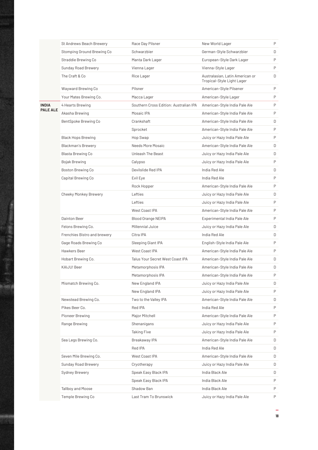|                 | St Andrews Beach Brewery     | Race Day Pilsner                       | New World Lager                                               | P |
|-----------------|------------------------------|----------------------------------------|---------------------------------------------------------------|---|
|                 | Stomping Ground Brewing Co   | Schwarzbier                            | German-Style Schwarzbier                                      | D |
|                 | Straddie Brewing Co          | Manta Dark Lager                       | European-Style Dark Lager                                     | P |
|                 | Sunday Road Brewery          | Vienna Lager                           | Vienna-Style Lager                                            | P |
|                 | The Craft & Co               | Rice Lager                             | Australasian, Latin American or<br>Tropical-Style Light Lager | D |
|                 | Wayward Brewing Co           | Pilsner                                | American-Style Pilsener                                       | P |
|                 | Your Mates Brewing Co.       | Macca Lager                            | American-Style Lager                                          | P |
| <b>INDIA</b>    | 4 Hearts Brewing             | Southern Cross Edition: Australian IPA | American-Style India Pale Ale                                 | P |
| <b>PALE ALE</b> | Akasha Brewing               | Mosaic IPA                             | American-Style India Pale Ale                                 | P |
|                 | BentSpoke Brewing Co         | Crankshaft                             | American-Style India Pale Ale                                 | D |
|                 |                              | Sprocket                               | American-Style India Pale Ale                                 | P |
|                 | <b>Black Hops Brewing</b>    | Hop Swap                               | Juicy or Hazy India Pale Ale                                  | P |
|                 | Blackman's Brewery           | Needs More Mosaic                      | American-Style India Pale Ale                                 | D |
|                 | Blasta Brewing Co            | Unleash The Beast                      | Juicy or Hazy India Pale Ale                                  | D |
|                 | Bojak Brewing                | Calypso                                | Juicy or Hazy India Pale Ale                                  | P |
|                 | Boston Brewing Co            | Devilslide Red IPA                     | India Red Ale                                                 | D |
|                 | Capital Brewing Co           | Evil Eye                               | India Red Ale                                                 | P |
|                 |                              | Rock Hopper                            | American-Style India Pale Ale                                 | P |
|                 | Cheeky Monkey Brewery        | Lefties                                | Juicy or Hazy India Pale Ale                                  | D |
|                 |                              | Lefties                                | Juicy or Hazy India Pale Ale                                  | P |
|                 |                              | West Coast IPA                         | American-Style India Pale Ale                                 | P |
|                 | Dainton Beer                 | <b>Blood Orange NEIPA</b>              | Experimental India Pale Ale                                   | P |
|                 | Felons Brewing Co.           | Millennial Juice                       | Juicy or Hazy India Pale Ale                                  | D |
|                 | Frenchies Bistro and brewery | Citra IPA                              | India Red Ale                                                 | D |
|                 | Gage Roads Brewing Co        | Sleeping Giant IPA                     | English-Style India Pale Ale                                  | P |
|                 | Hawkers Beer                 | West Coast IPA                         | American-Style India Pale Ale                                 | P |
|                 | Hobart Brewing Co.           | Talus Your Secret West Coast IPA       | American-Style India Pale Ale                                 | D |
|                 | KAIJU! Beer                  | Metamorphosis IPA                      | American-Style India Pale Ale                                 | D |
|                 |                              | Metamorphosis IPA                      | American-Style India Pale Ale                                 | P |
|                 | Mismatch Brewing Co.         | New England IPA                        | Juicy or Hazy India Pale Ale                                  | D |
|                 |                              | New England IPA                        | Juicy or Hazy India Pale Ale                                  | P |
|                 | Newstead Brewing Co.         | Two to the Valley IPA                  | American-Style India Pale Ale                                 | D |
|                 | Pikes Beer Co.               | Red IPA                                | India Red Ale                                                 | P |
|                 | Pioneer Brewing              | Major Mitchell                         | American-Style India Pale Ale                                 | P |
|                 | Range Brewing                | Shenanigans                            | Juicy or Hazy India Pale Ale                                  | P |
|                 |                              | <b>Taking Five</b>                     | Juicy or Hazy India Pale Ale                                  | P |
|                 | Sea Legs Brewing Co.         | Breakaway IPA                          | American-Style India Pale Ale                                 | D |
|                 |                              | Red IPA                                | India Red Ale                                                 | D |
|                 | Seven Mile Brewing Co.       | West Coast IPA                         | American-Style India Pale Ale                                 | D |
|                 | Sunday Road Brewery          | Cryotherapy                            | Juicy or Hazy India Pale Ale                                  | D |
|                 | Sydney Brewery               | Speak Easy Black IPA                   | India Black Ale                                               | D |
|                 |                              | Speak Easy Black IPA                   | India Black Ale                                               | P |
|                 | Tallboy and Moose            | Shadow Ban                             | India Black Ale                                               | P |
|                 | Temple Brewing Co            | Last Tram To Brunswick                 | Juicy or Hazy India Pale Ale                                  | P |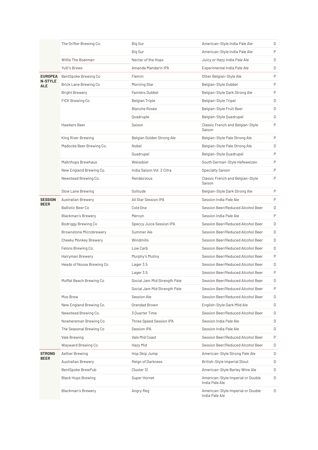|                       | The Grifter Brewing Co.        | Big Sur                      | American-Style India Pale Ale                       | D |
|-----------------------|--------------------------------|------------------------------|-----------------------------------------------------|---|
|                       |                                | Big Sur                      | American-Style India Pale Ale                       | P |
|                       | Willie The Boatman             | Nectar of the Hops           | Juicy or Hazy India Pale Ale                        | D |
|                       | Yulli's Brews                  | Amanda Mandarin IPA          | Experimental India Pale Ale                         | D |
| <b>EUROPEA</b>        | BentSpoke Brewing Co           | Flemm                        | Other Belgian-Style Ale                             | P |
| <b>N-STYLE</b><br>ALE | Brick Lane Brewing Co          | Morning Star                 | Belgian-Style Dubbel                                | P |
|                       | <b>Bright Brewery</b>          | <b>Fainters Dubbel</b>       | Belgian-Style Dark Strong Ale                       | P |
|                       | FICK Brewing Co                | Belgian Triple               | Belgian-Style Tripel                                | D |
|                       |                                | Blanche Rosée                | Belgian-Style Fruit Beer                            | D |
|                       |                                | Quadruple                    | Belgian-Style Quadrupel                             | D |
|                       | Hawkers Beer                   | Saison                       | Classic French and Belgian-Style<br>Saison          | P |
|                       | King River Brewing             | Belgian Golden Strong Ale    | Belgian-Style Pale Strong Ale                       | P |
|                       | Madocke Beer Brewing Co.       | Nobel                        | Belgian-Style Pale Strong Ale                       | D |
|                       |                                | Quadrupel                    | Belgian-Style Quadrupel                             | P |
|                       | Maltnhops Brewhaus             | Weissbier                    | South German-Style Hefeweizen                       | P |
|                       | New England Brewing Co.        | India Saison Vol. 2 Citra    | Specialty Saison                                    | P |
|                       | Newstead Brewing Co.           | Rendezvous                   | Classic French and Belgian-Style<br>Saison          | P |
|                       | Slow Lane Brewing              | Solitude                     | Belgian-Style Dark Strong Ale                       | P |
| <b>SESSION</b>        | <b>Australian Brewery</b>      | All Star Session IPA         | Session India Pale Ale                              | P |
| <b>BEER</b>           | <b>Ballistic Beer Co</b>       | Cold One                     | Session Beer/Reduced Alcohol Beer                   | D |
|                       | <b>Blackman's Brewery</b>      | Mervyn                       | Session India Pale Ale                              | P |
|                       | Bodriggy Brewing Co            | Speccy Juice Session IPA     | Session Beer/Reduced Alcohol Beer                   | D |
|                       | <b>Brownstone Microbrewery</b> | Summer Ale                   | Session Beer/Reduced Alcohol Beer                   | D |
|                       | <b>Cheeky Monkey Brewery</b>   | Windmills                    | Session Beer/Reduced Alcohol Beer                   | D |
|                       | Felons Brewing Co.             | Low Carb                     | Session Beer/Reduced Alcohol Beer                   | D |
|                       | Hairyman Brewery               | Murphy's Mutiny              | Session Beer/Reduced Alcohol Beer                   | P |
|                       | Heads of Noosa Brewing Co      | Lager 3.5                    | Session Beer/Reduced Alcohol Beer                   | D |
|                       |                                | Lager 3.5                    | Session Beer/Reduced Alcohol Beer                   | P |
|                       | Moffat Beach Brewing Co        | Social Jam Mid Strength Pale | Session Beer/Reduced Alcohol Beer                   | D |
|                       |                                | Social Jam Mid Strength Pale | Session Beer/Reduced Alcohol Beer                   | P |
|                       | Moo Brew                       | Session Ale                  | Session Beer/Reduced Alcohol Beer                   | D |
|                       | New England Brewing Co.        | Grandad Brown                | English-Style Dark Mild Ale                         | D |
|                       | Newstead Brewing Co.           | 3 Quarter Time               | Session Beer/Reduced Alcohol Beer                   | D |
|                       | Nowhereman Brewing Co          | Three Speed Session IPA      | Session India Pale Ale                              | D |
|                       | The Seasonal Brewing Co        | Session IPA                  | Session India Pale Ale                              | D |
|                       | Vale Brewing                   | Vale Mid Coast               | Session Beer/Reduced Alcohol Beer                   | P |
|                       | Wayward Brewing Co             | Hazy Mid                     | Session Beer/Reduced Alcohol Beer                   | D |
| <b>STRONG</b>         | Aether Brewing                 | Hop Skip Jump                | American-Style Strong Pale Ale                      | D |
| <b>BEER</b>           | Australian Brewery             | Reign of Darkness            | British-Style Imperial Stout                        | D |
|                       | BentSpoke BrewPub              | Cluster 12                   | American-Style Barley Wine Ale                      | D |
|                       | <b>Black Hops Brewing</b>      | Super Hornet                 | American-Style Imperial or Double<br>India Pale Ale | D |
|                       | <b>Blackman's Brewery</b>      | Angry Reg                    | American-Style Imperial or Double<br>India Pale Ale | D |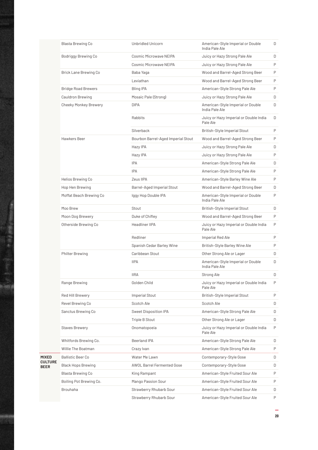|                | Blasta Brewing Co            | <b>Unbridled Unicorn</b>           | American-Style Imperial or Double<br>India Pale Ale | D      |
|----------------|------------------------------|------------------------------------|-----------------------------------------------------|--------|
|                | Bodriggy Brewing Co          | Cosmic Microwave NEIPA             | Juicy or Hazy Strong Pale Ale                       | D      |
|                |                              | Cosmic Microwave NEIPA             | Juicy or Hazy Strong Pale Ale                       | P      |
|                | <b>Brick Lane Brewing Co</b> | Baba Yaga                          | Wood and Barrel-Aged Strong Beer                    | P      |
|                |                              | Leviathan                          | Wood and Barrel-Aged Strong Beer                    | P      |
|                | <b>Bridge Road Brewers</b>   | Bling IPA                          | American-Style Strong Pale Ale                      | P      |
|                | Cauldron Brewing             | Mosaic Pale (Strong)               | Juicy or Hazy Strong Pale Ale                       | D      |
|                | Cheeky Monkey Brewery        | <b>DIPA</b>                        | American-Style Imperial or Double<br>India Pale Ale | $\Box$ |
|                |                              | Rabbits                            | Juicy or Hazy Imperial or Double India<br>Pale Ale  | D      |
|                |                              | Silverback                         | British-Style Imperial Stout                        | P      |
|                | Hawkers Beer                 | Bourbon Barrel-Aged Imperial Stout | Wood and Barrel-Aged Strong Beer                    | P      |
|                |                              | Hazy IPA                           | Juicy or Hazy Strong Pale Ale                       | D      |
|                |                              | Hazy IPA                           | Juicy or Hazy Strong Pale Ale                       | P      |
|                | <b>IPA</b>                   | American-Style Strong Pale Ale     | D                                                   |        |
|                |                              | <b>IPA</b>                         | American-Style Strong Pale Ale                      | P      |
|                | Helios Brewing Co            | Zeus IIPA                          | American-Style Barley Wine Ale                      | P      |
|                | Hop Hen Brewing              | Barrel-Aged Imperial Stout         | Wood and Barrel-Aged Strong Beer                    | D      |
|                | Moffat Beach Brewing Co      | Iggy Hop Double IPA                | American-Style Imperial or Double<br>India Pale Ale | P      |
|                | Moo Brew                     | Stout                              | British-Style Imperial Stout                        | D      |
|                | Moon Dog Brewery             | Duke of Chifley                    | Wood and Barrel-Aged Strong Beer                    | P      |
|                | Otherside Brewing Co         | Headliner IIPA                     | Juicy or Hazy Imperial or Double India<br>Pale Ale  | P      |
|                |                              | Redliner                           | Imperial Red Ale                                    | P      |
|                |                              | Spanish Cedar Barley Wine          | British-Style Barley Wine Ale                       | P      |
|                | <b>Philter Brewing</b>       | Caribbean Stout                    | Other Strong Ale or Lager                           | D      |
|                |                              | <b>IIPA</b>                        | American-Style Imperial or Double<br>India Pale Ale | D      |
|                |                              | <b>IIRA</b>                        | Strong Ale                                          | D      |
|                | Range Brewing                | Golden Child                       | Juicy or Hazy Imperial or Double India<br>Pale Ale  | P      |
|                | Red Hill Brewery             | Imperial Stout                     | British-Style Imperial Stout                        | P      |
|                | Revel Brewing Co             | Scotch Ale                         | Scotch Ale                                          | D      |
|                | Sanctus Brewing Co           | Sweet Disposition IPA              | American-Style Strong Pale Ale                      | D      |
|                |                              | Triple B Stout                     | Other Strong Ale or Lager                           | D      |
|                | <b>Staves Brewery</b>        | Onomatopoeia                       | Juicy or Hazy Imperial or Double India<br>Pale Ale  | P      |
|                | Whitfords Brewing Co.        | Beerland IPA                       | American-Style Strong Pale Ale                      | D      |
|                | Willie The Boatman           | Crazy Ivan                         | American-Style Strong Pale Ale                      | P      |
|                | <b>Ballistic Beer Co</b>     | Water Me Lawn                      | Contemporary-Style Gose                             | D      |
| <b>CULTURE</b> | Black Hops Brewing           | <b>AWOL Barrel Fermented Gose</b>  | Contemporary-Style Gose                             | D      |
|                | Blasta Brewing Co            | King Rampant                       | American-Style Fruited Sour Ale                     | P      |
|                | Boiling Pot Brewing Co.      | Mango Passion Sour                 | American-Style Fruited Sour Ale                     | P      |
|                | <b>Brouhaha</b>              | Strawberry Rhubarb Sour            | American-Style Fruited Sour Ale                     | D      |
|                |                              | Strawberry Rhubarb Sour            | American-Style Fruited Sour Ale                     | P      |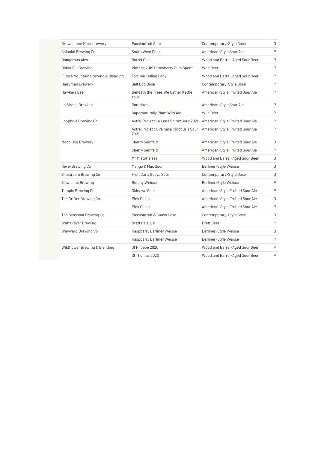| <b>Brownstone Microbrewery</b>     | Passionfruit Sour                                 | Contemporary-Style Gose         | D |
|------------------------------------|---------------------------------------------------|---------------------------------|---|
| Colonial Brewing Co                | South West Sour                                   | American-Style Sour Ale         | P |
| Dangerous Ales                     | Barrel One                                        | Wood and Barrel-Aged Sour Beer  | P |
| Dollar Bill Brewing                | Vintage 2019 Strawberry Gum Sponti                | Wild Beer                       | P |
| Future Mountain Brewing & Blending | Fortune Telling Lady                              | Wood and Barrel-Aged Sour Beer  | P |
| Hairyman Brewery                   | Salt Dog Gose                                     | Contemporary-Style Gose         | P |
| Hawkers Beer                       | Beneath the Trees We Gather Kettle<br>sour        | American-Style Fruited Sour Ale | P |
| La Sirène Brewing                  | Paradoxe                                          | American-Style Sour Ale         | P |
|                                    | Supernaturally Plum Wild Ale                      | Wild Beer                       | P |
| Loophole Brewing Co                | Astral Project La Lune Shiraz Sour 2021           | American-Style Fruited Sour Ale | P |
|                                    | Astral Project X Valhalla Pinot Gris Sour<br>2021 | American-Style Fruited Sour Ale | P |
| Moon Dog Brewery                   | Cherry Seinfeld                                   | American-Style Fruited Sour Ale | D |
|                                    | Cherry Seinfeld                                   | American-Style Fruited Sour Ale | P |
|                                    | Mr Mistoffelees                                   | Wood and Barrel-Aged Sour Beer  | D |
| Revel Brewing Co                   | Mango & Mac Sour                                  | Berliner-Style Weisse           | D |
| Slipstream Brewing Co              | Fruit Cart: Guava Sour                            | Contemporary-Style Gose         | D |
| Slow Lane Brewing                  | <b>Botany Weisse</b>                              | Berliner-Style Weisse           | P |
| Temple Brewing Co                  | Okinawa Sour                                      | American-Style Fruited Sour Ale | P |
| The Grifter Brewing Co.            | Pink Galah                                        | American-Style Fruited Sour Ale | D |
|                                    | Pink Galah                                        | American-Style Fruited Sour Ale | P |
| The Seasonal Brewing Co            | Passionfruit & Guava Gose                         | Contemporary-Style Gose         | D |
| <b>Watts River Brewing</b>         | <b>Brett Pale Ale</b>                             | <b>Brett Beer</b>               | P |
| Wayward Brewing Co                 | Raspberry Berliner Weisse                         | Berliner-Style Weisse           | D |
|                                    | Raspberry Berliner Weisse                         | Berliner-Style Weisse           | P |
| Wildflower Brewing & Blending      | St Phoebe 2020                                    | Wood and Barrel-Aged Sour Beer  | P |
|                                    | St Thomas 2020                                    | Wood and Barrel-Aged Sour Beer  | P |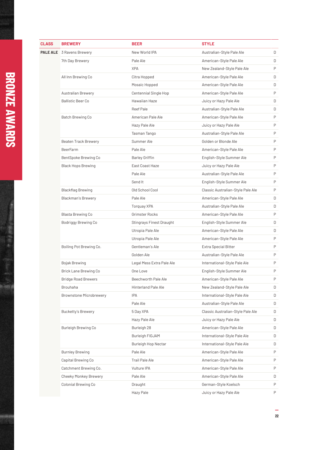| <b>CLASS</b> | <b>BREWERY</b>                   | <b>BEER</b>                | <b>STYLE</b>                      |   |
|--------------|----------------------------------|----------------------------|-----------------------------------|---|
|              | <b>PALE ALE</b> 3 Ravens Brewery | New World IPA              | Australian-Style Pale Ale         | D |
|              | 7th Day Brewery                  | Pale Ale                   | American-Style Pale Ale           | D |
|              |                                  | <b>XPA</b>                 | New Zealand-Style Pale Ale        | P |
|              | All Inn Brewing Co               | Citra Hopped               | American-Style Pale Ale           | D |
|              |                                  | Mosaic Hopped              | American-Style Pale Ale           | D |
|              | <b>Australian Brewery</b>        | Centennial Single Hop      | American-Style Pale Ale           | P |
|              | <b>Ballistic Beer Co</b>         | Hawaiian Haze              | Juicy or Hazy Pale Ale            | D |
|              |                                  | Reef Pale                  | Australian-Style Pale Ale         | D |
|              | Batch Brewing Co                 | American Pale Ale          | American-Style Pale Ale           | P |
|              |                                  | Hazy Pale Ale              | Juicy or Hazy Pale Ale            | P |
|              |                                  | Tasman Tango               | Australian-Style Pale Ale         | P |
|              | <b>Beaten Track Brewery</b>      | Summer Ale                 | Golden or Blonde Ale              | P |
|              | <b>BeerFarm</b>                  | Pale Ale                   | American-Style Pale Ale           | P |
|              | BentSpoke Brewing Co             | <b>Barley Griffin</b>      | English-Style Summer Ale          | P |
|              | <b>Black Hops Brewing</b>        | East Coast Haze            | Juicy or Hazy Pale Ale            | P |
|              |                                  | Pale Ale                   | Australian-Style Pale Ale         | P |
|              |                                  | Send It                    | English-Style Summer Ale          | P |
|              | <b>Blackflag Brewing</b>         | Old School Cool            | Classic Australian-Style Pale Ale | Ρ |
|              | <b>Blackman's Brewery</b>        | Pale Ale                   | American-Style Pale Ale           | D |
|              |                                  | Torquay XPA                | Australian-Style Pale Ale         | D |
|              | Blasta Brewing Co                | Grimster Rocks             | American-Style Pale Ale           | P |
|              | Bodriggy Brewing Co              | Stingrays Finest Draught   | English-Style Summer Ale          | D |
|              |                                  | Utropia Pale Ale           | American-Style Pale Ale           | D |
|              |                                  | Utropia Pale Ale           | American-Style Pale Ale           | P |
|              | Boiling Pot Brewing Co.          | Gentleman's Ale            | Extra Special Bitter              | P |
|              |                                  | Golden Ale                 | Australian-Style Pale Ale         | P |
|              | <b>Bojak Brewing</b>             | Legal Mess Extra Pale Ale  | International-Style Pale Ale      | P |
|              | Brick Lane Brewing Co            | One Love                   | English-Style Summer Ale          | P |
|              | <b>Bridge Road Brewers</b>       | Beechworth Pale Ale        | American-Style Pale Ale           | P |
|              | <b>Brouhaha</b>                  | <b>Hinterland Pale Ale</b> | New Zealand-Style Pale Ale        | D |
|              | <b>Brownstone Microbrewery</b>   | IPA                        | International-Style Pale Ale      | D |
|              |                                  | Pale Ale                   | Australian-Style Pale Ale         | D |
|              | <b>Bucketty's Brewery</b>        | 5 Day XPA                  | Classic Australian-Style Pale Ale | D |
|              |                                  | Hazy Pale Ale              | Juicy or Hazy Pale Ale            | D |
|              | Burleigh Brewing Co              | Burleigh 28                | American-Style Pale Ale           | D |
|              |                                  | Burleigh FIGJAM            | International-Style Pale Ale      | D |
|              |                                  | Burleigh Hop Nectar        | International-Style Pale Ale      | D |
|              | <b>Burnley Brewing</b>           | Pale Ale                   | American-Style Pale Ale           | P |
|              | Capital Brewing Co               | Trail Pale Ale             | American-Style Pale Ale           | Ρ |
|              | Catchment Brewing Co.            | Vulture IPA                | American-Style Pale Ale           | P |
|              | Cheeky Monkey Brewery            | Pale Ale                   | American-Style Pale Ale           | D |
|              | Colonial Brewing Co              | Draught                    | German-Style Koelsch              | P |
|              |                                  | Hazy Pale                  | Juicy or Hazy Pale Ale            | P |

**B R O N Z E A W A R D**

**S**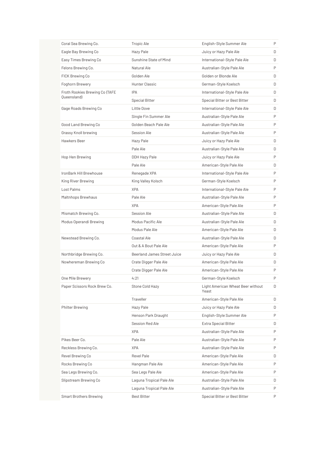| Coral Sea Brewing Co.                         | Tropic Ale                  | English-Style Summer Ale                   | P |
|-----------------------------------------------|-----------------------------|--------------------------------------------|---|
| Eagle Bay Brewing Co                          | Hazy Pale                   | Juicy or Hazy Pale Ale                     | D |
| Easy Times Brewing Co                         | Sunshine State of Mind      | International-Style Pale Ale               | D |
| Felons Brewing Co.                            | Natural Ale                 | Australian-Style Pale Ale                  | P |
| FICK Brewing Co                               | Golden Ale                  | Golden or Blonde Ale                       | D |
| Foghorn Brewery                               | Hunter Classic              | German-Style Koelsch                       | D |
| Froth Rookies Brewing Co (TAFE<br>Queensland) | <b>IPA</b>                  | International-Style Pale Ale               | D |
|                                               | <b>Special Bitter</b>       | Special Bitter or Best Bitter              | D |
| Gage Roads Brewing Co                         | Little Dove                 | International-Style Pale Ale               | D |
|                                               | Single Fin Summer Ale       | Australian-Style Pale Ale                  | P |
| Good Land Brewing Co                          | Golden Beach Pale Ale       | Australian-Style Pale Ale                  | P |
| Grassy Knoll brewing                          | Session Ale                 | Australian-Style Pale Ale                  | P |
| Hawkers Beer                                  | Hazy Pale                   | Juicy or Hazy Pale Ale                     | D |
|                                               | Pale Ale                    | Australian-Style Pale Ale                  | D |
| Hop Hen Brewing                               | <b>DDH Hazy Pale</b>        | Juicy or Hazy Pale Ale                     | P |
|                                               | Pale Ale                    | American-Style Pale Ale                    | D |
| IronBark Hill Brewhouse                       | Renegade XPA                | International-Style Pale Ale               | P |
| King River Brewing                            | King Valley Kolsch          | German-Style Koelsch                       | Ρ |
| Lost Palms                                    | <b>XPA</b>                  | International-Style Pale Ale               | P |
| Maltnhops Brewhaus                            | Pale Ale                    | Australian-Style Pale Ale                  | P |
|                                               | <b>XPA</b>                  | American-Style Pale Ale                    | P |
| Mismatch Brewing Co.                          | Session Ale                 | Australian-Style Pale Ale                  | D |
| Modus Operandi Brewing                        | Modus Pacific Ale           | Australian-Style Pale Ale                  | D |
|                                               | Modus Pale Ale              | American-Style Pale Ale                    | D |
| Newstead Brewing Co.                          | Coastal Ale                 | Australian-Style Pale Ale                  | D |
|                                               | Out & A Bout Pale Ale       | American-Style Pale Ale                    | P |
| Northbridge Brewing Co.                       | Beerland James Street Juice | Juicy or Hazy Pale Ale                     | D |
| Nowhereman Brewing Co                         | Crate Digger Pale Ale       | American-Style Pale Ale                    | D |
|                                               | Crate Digger Pale Ale       | American-Style Pale Ale                    | P |
| One Mile Brewery                              | 4:21                        | German-Style Koelsch                       | P |
| Paper Scissors Rock Brew Co.                  | Stone Cold Hazy             | Light American Wheat Beer without<br>Yeast | D |
|                                               | Traveller                   | American-Style Pale Ale                    | D |
| <b>Philter Brewing</b>                        | Hazy Pale                   | Juicy or Hazy Pale Ale                     | D |
|                                               | Henson Park Draught         | English-Style Summer Ale                   | P |
|                                               | Session Red Ale             | <b>Extra Special Bitter</b>                | D |
|                                               | <b>XPA</b>                  | Australian-Style Pale Ale                  | Ρ |
| Pikes Beer Co.                                | Pale Ale                    | Australian-Style Pale Ale                  | Ρ |
| Reckless Brewing Co.                          | <b>XPA</b>                  | Australian-Style Pale Ale                  | Ρ |
| Revel Brewing Co                              | Revel Pale                  | American-Style Pale Ale                    | D |
| Rocks Brewing Co                              |                             | American-Style Pale Ale                    | Ρ |
|                                               | Hangman Pale Ale            |                                            | Ρ |
| Sea Legs Brewing Co.                          | Sea Legs Pale Ale           | American-Style Pale Ale                    |   |
| Slipstream Brewing Co                         | Laguna Tropical Pale Ale    | Australian-Style Pale Ale                  | D |
|                                               | Laguna Tropical Pale Ale    | Australian-Style Pale Ale                  | P |
| <b>Smart Brothers Brewing</b>                 | <b>Best Bitter</b>          | Special Bitter or Best Bitter              | Ρ |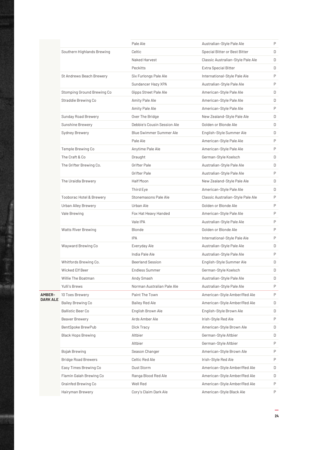|               |                                     | Pale Ale                    | Australian-Style Pale Ale         | P |
|---------------|-------------------------------------|-----------------------------|-----------------------------------|---|
|               | Southern Highlands Brewing          | Celtic                      | Special Bitter or Best Bitter     | D |
|               |                                     | Naked Harvest               | Classic Australian-Style Pale Ale | D |
|               |                                     | Peckitts                    | Extra Special Bitter              | D |
|               | St Andrews Beach Brewery            | Six Furlongs Pale Ale       | International-Style Pale Ale      | P |
|               |                                     | Sundancer Hazy XPA          | Australian-Style Pale Ale         | P |
|               | Stomping Ground Brewing Co          | Gipps Street Pale Ale       | American-Style Pale Ale           | D |
|               | Straddie Brewing Co                 | Amity Pale Ale              | American-Style Pale Ale           | D |
|               |                                     | Amity Pale Ale              | American-Style Pale Ale           | P |
|               | Sunday Road Brewery                 | Over The Bridge             | New Zealand-Style Pale Ale        | D |
|               | Sunshine Brewery                    | Debbie's Cousin Session Ale | Golden or Blonde Ale              | D |
|               | Sydney Brewery                      | Blue Swimmer Summer Ale     | English-Style Summer Ale          | D |
|               |                                     | Pale Ale                    | American-Style Pale Ale           | P |
|               | Temple Brewing Co                   | Anytime Pale Ale            | American-Style Pale Ale           | P |
|               | The Craft & Co                      | Draught                     | German-Style Koelsch              | D |
|               | The Grifter Brewing Co.             | Grifter Pale                | Australian-Style Pale Ale         | D |
|               |                                     | Grifter Pale                | Australian-Style Pale Ale         | P |
|               | The Uraidla Brewery                 | Half Moon                   | New Zealand-Style Pale Ale        | D |
|               |                                     | Third Eye                   | American-Style Pale Ale           | D |
|               | <b>Tooborac Hotel &amp; Brewery</b> | Stonemasons Pale Ale        | Classic Australian-Style Pale Ale | P |
|               | <b>Urban Alley Brewery</b>          | Urban Ale                   | Golden or Blonde Ale              | P |
|               | Vale Brewing                        | Fox Hat Heavy Handed        | American-Style Pale Ale           | P |
|               |                                     | Vale IPA                    | Australian-Style Pale Ale         | P |
|               | <b>Watts River Brewing</b>          | Blonde                      | Golden or Blonde Ale              | P |
|               |                                     | <b>IPA</b>                  | International-Style Pale Ale      | P |
|               | Wayward Brewing Co                  | Everyday Ale                | Australian-Style Pale Ale         | D |
|               |                                     | India Pale Ale              | Australian-Style Pale Ale         | P |
|               | Whitfords Brewing Co.               | Beerland Session            | English-Style Summer Ale          | D |
|               | Wicked Elf Beer                     | <b>Endless Summer</b>       | German-Style Koelsch              | D |
|               | Willie The Boatman                  | Andy Smash                  | Australian-Style Pale Ale         | D |
|               | Yulli's Brews                       | Norman Australian Pale Ale  | Australian-Style Pale Ale         | P |
| <b>AMBER-</b> | 10 Toes Brewery                     | Paint The Town              | American-Style Amber/Red Ale      | P |
| DARK ALE      | Bailey Brewing Co                   | Bailey Red Ale              | American-Style Amber/Red Ale      | D |
|               | <b>Ballistic Beer Co</b>            | English Brown Ale           | English-Style Brown Ale           | D |
|               | Beaver Brewery                      | Ards Amber Ale              | Irish-Style Red Ale               | P |
|               | BentSpoke BrewPub                   | Dick Tracy                  | American-Style Brown Ale          | D |
|               | <b>Black Hops Brewing</b>           | Altbier                     | German-Style Altbier              | D |
|               |                                     | Altbier                     | German-Style Altbier              | P |
|               | <b>Bojak Brewing</b>                | Season Changer              | American-Style Brown Ale          | P |
|               | <b>Bridge Road Brewers</b>          | Celtic Red Ale              | Irish-Style Red Ale               | P |
|               | Easy Times Brewing Co               | Dust Storm                  | American-Style Amber/Red Ale      | D |
|               | Flamin Galah Brewing Co             | Ranga Blood Red Ale         | American-Style Amber/Red Ale      | D |
|               | Grainfed Brewing Co                 | Well Red                    | American-Style Amber/Red Ale      | P |
|               | Hairyman Brewery                    | Cory's Claim Dark Ale       | American-Style Black Ale          | Ρ |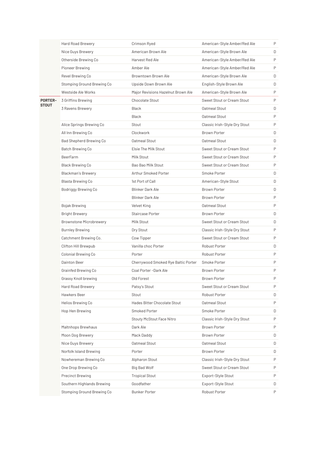|                | <b>Hard Road Brewery</b>       | Crimson Ryed                        | American-Style Amber/Red Ale  | P |
|----------------|--------------------------------|-------------------------------------|-------------------------------|---|
|                | Nice Guys Brewery              | American Brown Ale                  | American-Style Brown Ale      | D |
|                | Otherside Brewing Co           | Harvest Red Ale                     | American-Style Amber/Red Ale  | P |
|                | Pioneer Brewing                | Amber Ale                           | American-Style Amber/Red Ale  | P |
|                | Revel Brewing Co               | Browntown Brown Ale                 | American-Style Brown Ale      | D |
|                | Stomping Ground Brewing Co     | Upside Down Brown Ale               | English-Style Brown Ale       | D |
|                | Westside Ale Works             | Major Revisions Hazelnut Brown Ale  | American-Style Brown Ale      | P |
| <b>PORTER-</b> | 3 Griffins Brewing             | Chocolate Stout                     | Sweet Stout or Cream Stout    | P |
| <b>STOUT</b>   | 3 Ravens Brewery               | <b>Black</b>                        | Oatmeal Stout                 | D |
|                |                                | <b>Black</b>                        | Oatmeal Stout                 | P |
|                | Alice Springs Brewing Co       | Stout                               | Classic Irish-Style Dry Stout | P |
|                | All Inn Brewing Co             | Clockwork                           | <b>Brown Porter</b>           | D |
|                | Bad Shepherd Brewing Co        | Oatmeal Stout                       | Oatmeal Stout                 | D |
|                | <b>Batch Brewing Co</b>        | Elsie The Milk Stout                | Sweet Stout or Cream Stout    | P |
|                | <b>BeerFarm</b>                | Milk Stout                          | Sweet Stout or Cream Stout    | P |
|                | Black Brewing Co               | Bao Bao Milk Stout                  | Sweet Stout or Cream Stout    | P |
|                | <b>Blackman's Brewery</b>      | Arthur Smoked Porter                | Smoke Porter                  | D |
|                | Blasta Brewing Co              | 1st Port of Call                    | American-Style Stout          | D |
|                | Bodriggy Brewing Co            | <b>Blinker Dark Ale</b>             | <b>Brown Porter</b>           | D |
|                |                                | <b>Blinker Dark Ale</b>             | Brown Porter                  | P |
|                | Bojak Brewing                  | Velvet King                         | Oatmeal Stout                 | P |
|                | <b>Bright Brewery</b>          | Staircase Porter                    | <b>Brown Porter</b>           | D |
|                | <b>Brownstone Microbrewery</b> | Milk Stout                          | Sweet Stout or Cream Stout    | D |
|                | <b>Burnley Brewing</b>         | Dry Stout                           | Classic Irish-Style Dry Stout | P |
|                | Catchment Brewing Co.          | Cow Tipper                          | Sweet Stout or Cream Stout    | P |
|                | Clifton Hill Brewpub           | Vanilla choc Porter                 | Robust Porter                 | D |
|                | Colonial Brewing Co            | Porter                              | Robust Porter                 | P |
|                | Dainton Beer                   | Cherrywood Smoked Rye Baltic Porter | Smoke Porter                  | P |
|                | Grainfed Brewing Co            | Coal Porter -Dark Ale               | <b>Brown Porter</b>           | P |
|                | Grassy Knoll brewing           | Old Forest                          | Brown Porter                  | P |
|                | Hard Road Brewery              | Patsy's Stout                       | Sweet Stout or Cream Stout    | P |
|                | Hawkers Beer                   | Stout                               | Robust Porter                 | D |
|                | Helios Brewing Co              | Hades Bitter Chocolate Stout        | Oatmeal Stout                 | P |
|                | Hop Hen Brewing                | Smoked Porter                       | Smoke Porter                  | D |
|                |                                | Stouty McStout Face Nitro           | Classic Irish-Style Dry Stout | P |
|                | Maltnhops Brewhaus             | Dark Ale                            | <b>Brown Porter</b>           | P |
|                | Moon Dog Brewery               | Mack Daddy                          | <b>Brown Porter</b>           | D |
|                | Nice Guys Brewery              | Oatmeal Stout                       | Oatmeal Stout                 | D |
|                | Norfolk Island Brewing         | Porter                              | Brown Porter                  | D |
|                | Nowhereman Brewing Co          | Alpharon Stout                      | Classic Irish-Style Dry Stout | P |
|                | One Drop Brewing Co            | Big Bad Wolf                        | Sweet Stout or Cream Stout    | P |
|                | <b>Precinct Brewing</b>        | <b>Tropical Stout</b>               | Export-Style Stout            | P |
|                | Southern Highlands Brewing     | Goodfather                          | Export-Style Stout            | D |
|                | Stomping Ground Brewing Co     | <b>Bunker Porter</b>                | Robust Porter                 | P |
|                |                                |                                     |                               |   |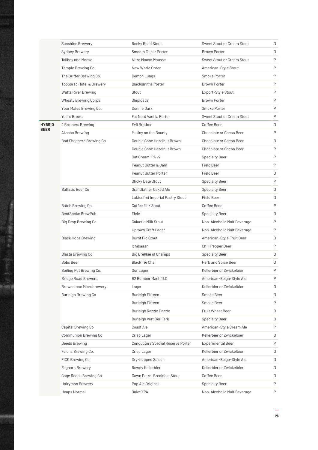|               | Sunshine Brewery                    | Rocky Road Stout                         | Sweet Stout or Cream Stout  | D |
|---------------|-------------------------------------|------------------------------------------|-----------------------------|---|
|               | Sydney Brewery                      | Smooth Talker Porter                     | <b>Brown Porter</b>         | D |
|               | Tallboy and Moose                   | Nitro Moose Mousse                       | Sweet Stout or Cream Stout  | P |
|               | Temple Brewing Co                   | New World Order                          | American-Style Stout        | P |
|               | The Grifter Brewing Co.             | Demon Lungs                              | Smoke Porter                | P |
|               | <b>Tooborac Hotel &amp; Brewery</b> | <b>Blacksmiths Porter</b>                | <b>Brown Porter</b>         | P |
|               | <b>Watts River Brewing</b>          | Stout                                    | Export-Style Stout          | P |
|               | Wheaty Brewing Corps                | Shiploads                                | <b>Brown Porter</b>         | P |
|               | Your Mates Brewing Co.              | Donnie Dark                              | Smoke Porter                | P |
|               | Yulli's Brews                       | Fat Nerd Vanilla Porter                  | Sweet Stout or Cream Stout  | P |
| <b>HYBRID</b> | 4 Brothers Brewing                  | Evil Brother                             | Coffee Beer                 | D |
| <b>BEER</b>   | Akasha Brewing                      | Mutiny on the Bounty                     | Chocolate or Cocoa Beer     | P |
|               | Bad Shepherd Brewing Co             | Double Choc Hazelnut Brown               | Chocolate or Cocoa Beer     | D |
|               |                                     | Double Choc Hazelnut Brown               | Chocolate or Cocoa Beer     | P |
|               |                                     | Oat Cream IPA v2                         | <b>Specialty Beer</b>       | P |
|               |                                     | Peanut Butter & Jam                      | Field Beer                  | P |
|               |                                     | Peanut Butter Porter                     | <b>Field Beer</b>           | D |
|               |                                     | Sticky Date Stout                        | <b>Specialty Beer</b>       | P |
|               | <b>Ballistic Beer Co</b>            | Grandfather Oaked Ale                    | <b>Specialty Beer</b>       | D |
|               |                                     | Laktosfrei Imperial Pastry Stout         | Field Beer                  | D |
|               | Batch Brewing Co                    | Coffee Milk Stout                        | Coffee Beer                 | P |
|               | BentSpoke BrewPub                   | Fixie                                    | <b>Specialty Beer</b>       | D |
|               | Big Drop Brewing Co                 | Galactic Milk Stout                      | Non-Alcoholic Malt Beverage | P |
|               |                                     | Uptown Craft Lager                       | Non-Alcoholic Malt Beverage | P |
|               | <b>Black Hops Brewing</b>           | <b>Burnt Fig Stout</b>                   | American-Style Fruit Beer   | D |
|               |                                     | Ichibaaan                                | Chili Pepper Beer           | P |
|               | Blasta Brewing Co                   | Big Brekkie of Champs                    | <b>Specialty Beer</b>       | D |
|               | Bobs Beer                           | Black Tie Chai                           | Herb and Spice Beer         | D |
|               | Boiling Pot Brewing Co.             | Our Lager                                | Kellerbier or Zwickelbier   | P |
|               | <b>Bridge Road Brewers</b>          | B2 Bomber Mach 11.0                      | American-Belgo-Style Ale    | P |
|               | <b>Brownstone Microbrewery</b>      | Lager                                    | Kellerbier or Zwickelbier   | D |
|               | <b>Burleigh Brewing Co</b>          | <b>Burleigh Fifteen</b>                  | Smoke Beer                  | D |
|               |                                     | <b>Burleigh Fifteen</b>                  | Smoke Beer                  | P |
|               |                                     | Burleigh Razzle Dazzle                   | Fruit Wheat Beer            | D |
|               |                                     | Burleigh Vert Der Ferk                   | <b>Specialty Beer</b>       | D |
|               | Capital Brewing Co                  | Coast Ale                                | American-Style Cream Ale    | P |
|               | Communion Brewing Co                | Crisp Lager                              | Kellerbier or Zwickelbier   | D |
|               | Deeds Brewing                       | <b>Conductors Special Reserve Porter</b> | <b>Experimental Beer</b>    | P |
|               | Felons Brewing Co.                  | Crisp Lager                              | Kellerbier or Zwickelbier   | D |
|               | FICK Brewing Co                     | Dry-hopped Saison                        | American-Belgo-Style Ale    | D |
|               | Foghorn Brewery                     | Rowdy Kellerbier                         | Kellerbier or Zwickelbier   | D |
|               | Gage Roads Brewing Co               | Dawn Patrol Breakfast Stout              | Coffee Beer                 | D |
|               | Hairyman Brewery                    | Pop Ale Original                         | Specialty Beer              | P |
|               | Heaps Normal                        | Quiet XPA                                | Non-Alcoholic Malt Beverage | Ρ |
|               |                                     |                                          |                             |   |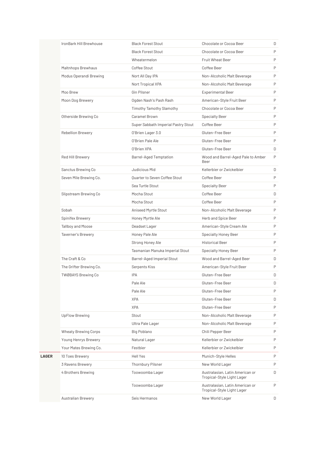|              | IronBark Hill Brewhouse     | <b>Black Forest Stout</b>            | Chocolate or Cocoa Beer                                       | D |
|--------------|-----------------------------|--------------------------------------|---------------------------------------------------------------|---|
|              |                             | <b>Black Forest Stout</b>            | Chocolate or Cocoa Beer                                       | P |
|              |                             | Wheatermelon                         | Fruit Wheat Beer                                              | P |
|              | Maltnhops Brewhaus          | Coffee Stout                         | Coffee Beer                                                   | P |
|              | Modus Operandi Brewing      | Nort All Day IPA                     | Non-Alcoholic Malt Beverage                                   | P |
|              |                             | Nort Tropical XPA                    | Non-Alcoholic Malt Beverage                                   | P |
|              | Moo Brew                    | Gin Pilsner                          | <b>Experimental Beer</b>                                      | P |
|              | Moon Dog Brewery            | Ogden Nash's Pash Rash               | American-Style Fruit Beer                                     | P |
|              |                             | Timothy Tamothy Slamothy             | Chocolate or Cocoa Beer                                       | P |
|              | Otherside Brewing Co        | Caramel Brown                        | <b>Specialty Beer</b>                                         | P |
|              |                             | Super Sabbath Imperial Pastry Stout  | Coffee Beer                                                   | P |
|              | <b>Rebellion Brewery</b>    | O'Brien Lager 3.0                    | Gluten-Free Beer                                              | P |
|              |                             | O'Brien Pale Ale                     | Gluten-Free Beer                                              | P |
|              |                             | O'Brien XPA                          | Gluten-Free Beer                                              | D |
|              | Red Hill Brewery            | <b>Barrel-Aged Temptation</b>        | Wood and Barrel-Aged Pale to Amber<br>Beer                    | P |
|              | Sanctus Brewing Co          | Judicious Mid                        | Kellerbier or Zwickelbier                                     | D |
|              | Seven Mile Brewing Co.      | <b>Ouarter to Seven Coffee Stout</b> | Coffee Beer                                                   | P |
|              |                             | Sea Turtle Stout                     | <b>Specialty Beer</b>                                         | P |
|              | Slipstream Brewing Co       | Mocha Stout                          | Coffee Beer                                                   | D |
|              |                             | Mocha Stout                          | Coffee Beer                                                   | P |
|              | Sobah                       | Aniseed Myrtle Stout                 | Non-Alcoholic Malt Beverage                                   | P |
|              | Spinifex Brewery            | Honey Myrtle Ale                     | Herb and Spice Beer                                           | P |
|              | Tallboy and Moose           | Deadset Lager                        | American-Style Cream Ale                                      | P |
|              | Taverner's Brewery          | Honey Pale Ale                       | <b>Specialty Honey Beer</b>                                   | P |
|              |                             | Strong Honey Ale                     | <b>Historical Beer</b>                                        | P |
|              |                             | Tasmanian Manuka Imperial Stout      | <b>Specialty Honey Beer</b>                                   | P |
|              | The Craft & Co.             | Barrel-Aged Imperial Stout           | Wood and Barrel-Aged Beer                                     | D |
|              | The Grifter Brewing Co.     | Serpents Kiss                        | American-Style Fruit Beer                                     | P |
|              | <b>TWØBAYS Brewing Co</b>   | <b>IPA</b>                           | Gluten-Free Beer                                              | D |
|              |                             | Pale Ale                             | Gluten-Free Beer                                              | D |
|              |                             | Pale Ale                             | Gluten-Free Beer                                              | P |
|              |                             | <b>XPA</b>                           | Gluten-Free Beer                                              | D |
|              |                             | <b>XPA</b>                           | Gluten-Free Beer                                              | P |
|              | <b>UpFlow Brewing</b>       | Stout                                | Non-Alcoholic Malt Beverage                                   | P |
|              |                             | Ultra Pale Lager                     | Non-Alcoholic Malt Beverage                                   | P |
|              | <b>Wheaty Brewing Corps</b> | Big Poblano                          | Chili Pepper Beer                                             | P |
|              | Young Henrys Brewery        | Natural Lager                        | Kellerbier or Zwickelbier                                     | P |
|              | Your Mates Brewing Co.      | Festbier                             | Kellerbier or Zwickelbier                                     | P |
| <b>LAGER</b> | 10 Toes Brewery             | <b>Hell Yes</b>                      | Munich-Style Helles                                           | P |
|              | 3 Ravens Brewery            | <b>Thornbury Pilsner</b>             | New World Lager                                               | P |
|              | 4 Brothers Brewing          | Toowoomba Lager                      | Australasian, Latin American or<br>Tropical-Style Light Lager | D |
|              |                             | Toowoomba Lager                      | Australasian, Latin American or<br>Tropical-Style Light Lager | P |
|              | <b>Australian Brewery</b>   | Seis Hermanos                        | New World Lager                                               | D |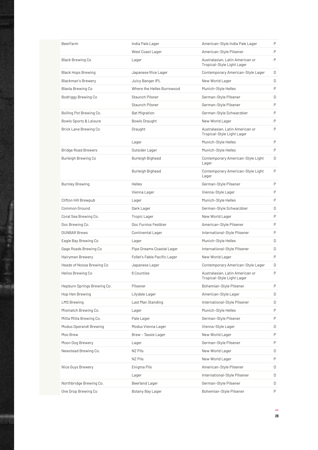| <b>BeerFarm</b>             | India Pale Lager             | American-Style India Pale Lager                               | P |
|-----------------------------|------------------------------|---------------------------------------------------------------|---|
|                             | West Coast Lager             | American-Style Pilsener                                       | P |
| <b>Black Brewing Co</b>     | Lager                        | Australasian, Latin American or<br>Tropical-Style Light Lager | P |
| <b>Black Hops Brewing</b>   | Japanese Rice Lager          | Contemporary American-Style Lager                             | D |
| <b>Blackman's Brewery</b>   | Juicy Banger IPL             | New World Lager                                               | D |
| Blasta Brewing Co           | Where the Helles Burrswood   | Munich-Style Helles                                           | P |
| Bodriggy Brewing Co         | Staunch Pilsner              | German-Style Pilsener                                         | D |
|                             | Staunch Pilsner              | German-Style Pilsener                                         | P |
| Boiling Pot Brewing Co.     | <b>Bat Migration</b>         | German-Style Schwarzbier                                      | P |
| Bowlo Sports & Leisure      | Bowlo Draught                | New World Lager                                               | P |
| Brick Lane Brewing Co       | Draught                      | Australasian, Latin American or<br>Tropical-Style Light Lager | P |
|                             | Lager                        | Munich-Style Helles                                           | P |
| <b>Bridge Road Brewers</b>  | Outsider Lager               | Munich-Style Helles                                           | P |
| Burleigh Brewing Co         | Burleigh Bighead             | Contemporary American-Style Light<br>Lager                    | D |
|                             | Burleigh Bighead             | Contemporary American-Style Light<br>Lager                    | P |
| <b>Burnley Brewing</b>      | <b>Helles</b>                | German-Style Pilsener                                         | P |
|                             | Vienna Lager                 | Vienna-Style Lager                                            | P |
| Clifton Hill Brewpub        | Lager                        | Munich-Style Helles                                           | P |
| Common Ground               | Dark Lager                   | German-Style Schwarzbier                                      | D |
| Coral Sea Brewing Co.       | <b>Tropic Lager</b>          | New World Lager                                               | P |
| Doc Brewing Co.             | Doc Furniss Festbier         | American-Style Pilsener                                       | P |
| <b>DUNBAR Brews</b>         | Continental Lager            | International-Style Pilsener                                  | P |
| Eagle Bay Brewing Co        | Lager                        | Munich-Style Helles                                           | D |
| Gage Roads Brewing Co       | Pipe Dreams Coastal Lager    | International-Style Pilsener                                  | D |
| Hairyman Brewery            | Follet's Fable Pacific Lager | New World Lager                                               | P |
| Heads of Noosa Brewing Co   | Japanese Lager               | Contemporary American-Style Lager                             | D |
| Helios Brewing Co           | 6 Counties                   | Australasian, Latin American or<br>Tropical-Style Light Lager | P |
| Hepburn Springs Brewing Co. | Pilsener                     | Bohemian-Style Pilsener                                       | P |
| Hop Hen Brewing             | Lilydale Lager               | American-Style Lager                                          | D |
| LMS Brewing                 | Last Man Standing            | International-Style Pilsener                                  | D |
| Mismatch Brewing Co.        | Lager                        | Munich-Style Helles                                           | P |
| Mitta Mitta Brewing Co.     | Pale Lager                   | German-Style Pilsener                                         | P |
| Modus Operandi Brewing      | Modus Vienna Lager           | Vienna-Style Lager                                            | D |
| Moo Brew                    | Brew - Tassie Lager          | New World Lager                                               | P |
| Moon Dog Brewery            | Lager                        | German-Style Pilsener                                         | P |
| Newstead Brewing Co.        | NZ Pils                      | New World Lager                                               | D |
|                             | NZ Pils                      | New World Lager                                               | P |
| Nice Guys Brewery           | Enigma Pils                  | American-Style Pilsener                                       | D |
|                             | Lager                        | International-Style Pilsener                                  | D |
| Northbridge Brewing Co.     | Beerland Lager               | German-Style Pilsener                                         | D |
| One Drop Brewing Co         | Botany Bay Lager             | Bohemian-Style Pilsener                                       | P |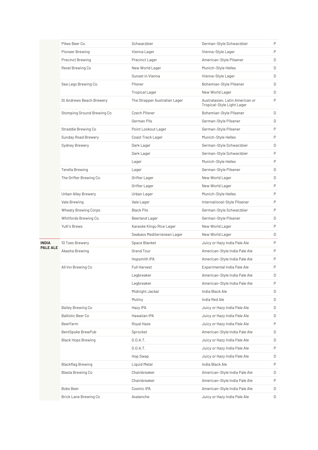|                 | Pikes Beer Co.              | Schwarzbier                   | German-Style Schwarzbier                                      | P |
|-----------------|-----------------------------|-------------------------------|---------------------------------------------------------------|---|
|                 | Pioneer Brewing             | Vienna Lager                  | Vienna-Style Lager                                            | P |
|                 | <b>Precinct Brewing</b>     | Precinct Lager                | American-Style Pilsener                                       | D |
|                 | Revel Brewing Co            | New World Lager               | Munich-Style Helles                                           | D |
|                 |                             | Sunset in Vienna              | Vienna-Style Lager                                            | D |
|                 | Sea Legs Brewing Co.        | Pilsner                       | Bohemian-Style Pilsener                                       | D |
|                 |                             | <b>Tropical Lager</b>         | New World Lager                                               | D |
|                 | St Andrews Beach Brewery    | The Strapper Australian Lager | Australasian, Latin American or<br>Tropical-Style Light Lager | P |
|                 | Stomping Ground Brewing Co  | Czech Pilsner                 | Bohemian-Style Pilsener                                       | D |
|                 |                             | German Pils                   | German-Style Pilsener                                         | D |
|                 | Straddie Brewing Co         | Point Lookout Lager           | German-Style Pilsener                                         | P |
|                 | Sunday Road Brewery         | Coast Track Lager             | Munich-Style Helles                                           | P |
|                 | Sydney Brewery              | Dark Lager                    | German-Style Schwarzbier                                      | D |
|                 |                             | Dark Lager                    | German-Style Schwarzbier                                      | P |
|                 |                             | Lager                         | Munich-Style Helles                                           | P |
|                 | <b>Terella Brewing</b>      | Lager                         | German-Style Pilsener                                         | D |
|                 | The Grifter Brewing Co.     | Grifter Lager                 | New World Lager                                               | D |
|                 |                             | Grifter Lager                 | New World Lager                                               | P |
|                 | Urban Alley Brewery         | Urban Lager                   | Munich-Style Helles                                           | P |
|                 | Vale Brewing                | Vale Lager                    | International-Style Pilsener                                  | P |
|                 | <b>Wheaty Brewing Corps</b> | <b>Black Pils</b>             | German-Style Schwarzbier                                      | P |
|                 | Whitfords Brewing Co.       | Beerland Lager                | German-Style Pilsener                                         | D |
|                 | Yulli's Brews               | Karaoke Kingu Rice Lager      | New World Lager                                               | P |
|                 |                             | Seabass Mediterranean Lager   | New World Lager                                               | D |
| INDIA           | 10 Toes Brewery             | Space Blanket                 | Juicy or Hazy India Pale Ale                                  | P |
| <b>PALE ALE</b> | Akasha Brewing              | <b>Grand Tour</b>             | American-Style India Pale Ale                                 | P |
|                 |                             | Hopsmith IPA                  | American-Style India Pale Ale                                 | P |
|                 | All Inn Brewing Co          | <b>Full Harvest</b>           | Experimental India Pale Ale                                   | P |
|                 |                             | Legbreaker                    | American-Style India Pale Ale                                 | D |
|                 |                             | Legbreaker                    | American-Style India Pale Ale                                 | P |
|                 |                             | Midnight Jackal               | India Black Ale                                               | D |
|                 |                             | Mutiny                        | India Red Ale                                                 | D |
|                 | Bailey Brewing Co           | Hazy IPA                      | Juicy or Hazy India Pale Ale                                  | D |
|                 | <b>Ballistic Beer Co</b>    | Hawaiian IPA                  | Juicy or Hazy India Pale Ale                                  | D |
|                 | BeerFarm                    | Royal Haze                    | Juicy or Hazy India Pale Ale                                  | P |
|                 | BentSpoke BrewPub           | Sprocket                      | American-Style India Pale Ale                                 | D |
|                 | <b>Black Hops Brewing</b>   | G.0.A.T.                      | Juicy or Hazy India Pale Ale                                  | D |
|                 |                             | G.O.A.T.                      | Juicy or Hazy India Pale Ale                                  | P |
|                 |                             | Hop Swap                      | Juicy or Hazy India Pale Ale                                  | D |
|                 | <b>Blackflag Brewing</b>    | Liquid Metal                  | India Black Ale                                               | P |
|                 | Blasta Brewing Co           | Chainbreaker                  | American-Style India Pale Ale                                 | D |
|                 |                             | Chainbreaker                  | American-Style India Pale Ale                                 | P |
|                 | <b>Bobs Beer</b>            | Cosmic IPA                    | American-Style India Pale Ale                                 | D |
|                 | Brick Lane Brewing Co       | Avalanche                     | Juicy or Hazy India Pale Ale                                  | D |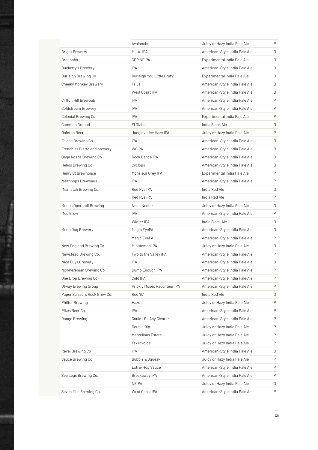|                              | Avalanche                   | Juicy or Hazy India Pale Ale  | P |
|------------------------------|-----------------------------|-------------------------------|---|
| <b>Bright Brewery</b>        | M.I.A. IPA                  | American-Style India Pale Ale | D |
| <b>Brouhaha</b>              | CPR NEIPA                   | Experimental India Pale Ale   | D |
| <b>Bucketty's Brewery</b>    | <b>IPA</b>                  | American-Style India Pale Ale | D |
| Burleigh Brewing Co          | Burleigh You Little Bruty!  | Experimental India Pale Ale   | D |
| Cheeky Monkey Brewery        | Talus                       | American-Style India Pale Ale | D |
|                              | West Coast IPA              | American-Style India Pale Ale | D |
| Clifton Hill Brewpub         | <b>IPA</b>                  | American-Style India Pale Ale | P |
| Coldstream Brewery           | IPA                         | American-Style India Pale Ale | P |
| Colonial Brewing Co          | <b>IPA</b>                  | Experimental India Pale Ale   | P |
| Common Ground                | El Diablo                   | India Black Ale               | D |
| Dainton Beer                 | Jungle Juice Hazy IPA       | Juicy or Hazy India Pale Ale  | P |
| Felons Brewing Co.           | <b>IPA</b>                  | American-Style India Pale Ale | D |
| Frenchies Bistro and brewery | <b>WCIPA</b>                | American-Style India Pale Ale | D |
| Gage Roads Brewing Co        | Rock Dance IPA              | American-Style India Pale Ale | D |
| Helios Brewing Co            | Cyclops                     | American-Style India Pale Ale | D |
| Henry St Brewhouse           | Monsieur Grey IPA           | Experimental India Pale Ale   | P |
| Maltnhops Brewhaus           | <b>IPA</b>                  | American-Style India Pale Ale | P |
| Mismatch Brewing Co.         | Red Rye IPA                 | India Red Ale                 | D |
|                              | Red Rye IPA                 | India Red Ale                 | P |
| Modus Operandi Brewing       | Neon Nectar                 | Juicy or Hazy India Pale Ale  | D |
| Moo Brew                     | IPA                         | American-Style India Pale Ale | P |
|                              |                             |                               |   |
|                              | Winter IPA                  | India Black Ale               | D |
| Moon Dog Brewery             | Magic EyePA                 | American-Style India Pale Ale | D |
|                              | Magic EyePA                 | American-Style India Pale Ale | P |
| New England Brewing Co.      | Minutemen IPA               | Juicy or Hazy India Pale Ale  | D |
| Newstead Brewing Co.         | Two to the Valley IPA       | American-Style India Pale Ale | P |
| Nice Guys Brewery            | <b>IPA</b>                  | American-Style India Pale Ale | D |
| Nowhereman Brewing Co        | Dumb Enough IPA             | American-Style India Pale Ale | P |
| One Drop Brewing Co          | Cold IPA                    | American-Style India Pale Ale | P |
| Otway Brewing Group          | Prickly Moses Raconteur IPA | American-Style India Pale Ale | P |
| Paper Scissors Rock Brew Co. | Red '67                     | India Red Ale                 | D |
| <b>Philter Brewing</b>       | Haze                        | Juicy or Hazy India Pale Ale  | P |
| Pikes Beer Co.               | IPA                         | American-Style India Pale Ale | Ρ |
| Range Brewing                | Could I Be Any Clearer      | American-Style India Pale Ale | Ρ |
|                              | Double Dip                  | Juicy or Hazy India Pale Ale  | P |
|                              | Marvellous Estate           | Juicy or Hazy India Pale Ale  | Ρ |
|                              | Tax Invoice                 | Juicy or Hazy India Pale Ale  | P |
| Revel Brewing Co             | IPA                         | American-Style India Pale Ale | D |
| Sauce Brewing Co             | Bubble & Squeak             | Juicy or Hazy India Pale Ale  | P |
|                              | Extra-Hop Sauce             | American-Style India Pale Ale | Ρ |
| Sea Legs Brewing Co.         | Breakaway IPA               | American-Style India Pale Ale | Ρ |
|                              | <b>NEIPA</b>                | Juicy or Hazy India Pale Ale  | D |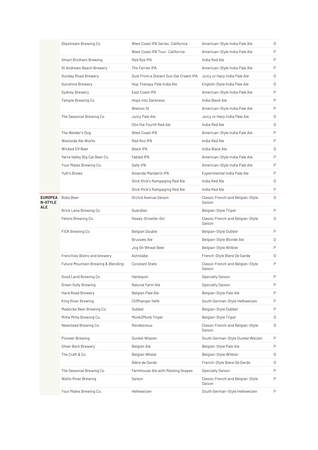|                           | Slipstream Brewing Co              | West Coast IPA Series: California     | American-Style India Pale Ale              | D |
|---------------------------|------------------------------------|---------------------------------------|--------------------------------------------|---|
|                           |                                    | West Coast IPA Tour: California       | American-Style India Pale Ale              | P |
|                           | <b>Smart Brothers Brewing</b>      | Red Rye IPA                           | India Red Ale                              | P |
|                           | St Andrews Beach Brewery           | The Farrier IPA                       | American-Style India Pale Ale              | P |
|                           | Sunday Road Brewery                | Dust From a Distant Sun Oat Cream IPA | Juicy or Hazy India Pale Ale               | D |
|                           | Sunshine Brewery                   | Hop Therapy Pale India Ale            | English-Style India Pale Ale               | D |
|                           | Sydney Brewery                     | East Coast IPA                        | American-Style India Pale Ale              | P |
|                           | Temple Brewing Co                  | Hops Into Darkness                    | India Black Ale                            | P |
|                           |                                    | Weston St                             | American-Style India Pale Ale              | P |
|                           | The Seasonal Brewing Co            | Juicy Pale Ale                        | Juicy or Hazy India Pale Ale               | D |
|                           |                                    | Otis the Fourth Red Ale               | India Red Ale                              | D |
|                           | The Welder's Dog                   | West Coast IPA                        | American-Style India Pale Ale              | P |
|                           | Westside Ale Works                 | Red Roo IPA                           | India Red Ale                              | P |
|                           | Wicked Elf Beer                    | Black IPA                             | India Black Ale                            | D |
|                           | Yarra Valley Big Cat Beer Co.      | <b>Fabled IPA</b>                     | American-Style India Pale Ale              | P |
|                           | Your Mates Brewing Co.             | Sally IPA                             | American-Style India Pale Ale              | P |
|                           | Yulli's Brews                      | Amanda Mandarin IPA                   | Experimental India Pale Ale                | P |
|                           |                                    | Slick Rick's Rampaging Red Ale        | India Red Ale                              | D |
|                           |                                    | Slick Rick's Rampaging Red Ale        | India Red Ale                              | P |
| EUROPEA<br><b>N-STYLE</b> | Bobs Beer                          | Orchid Avenue Saison                  | Classic French and Belgian-Style<br>Saison | D |
| ALE                       | Brick Lane Brewing Co              | Guardian                              | Belgian-Style Tripel                       | P |
|                           | Felons Brewing Co.                 | Ready-Grisette-Go!                    | Classic French and Belgian-Style<br>Saison | D |
|                           | FICK Brewing Co                    | Belgian Double                        | Belgian-Style Dubbel                       | P |
|                           |                                    | <b>Brussels Ale</b>                   | Belgian-Style Blonde Ale                   | D |
|                           |                                    | Jog On Wheat Beer                     | Belgian-Style Witbier                      | P |
|                           | Frenchies Bistro and brewery       | Astrolabe                             | French-Style Biere De Garde                | D |
|                           | Future Mountain Brewing & Blending | <b>Constant State</b>                 | Classic French and Belgian-Style<br>Saison | P |
|                           | Good Land Brewing Co               | Harlequin                             | <b>Specialty Saison</b>                    | P |
|                           | <b>Green Gully Brewing</b>         | Natural Farm Ale                      | Specialty Saison                           | P |
|                           | Hard Road Brewery                  | Belgian Pale Ale                      | Belgian-Style Pale Ale                     | P |
|                           | King River Brewing                 | Cliffhanger Hefe                      | South German-Style Hefeweizen              | P |
|                           | Madocke Beer Brewing Co.           | Dubbel                                | Belgian-Style Dubbel                       | P |
|                           | Mitta Mitta Brewing Co.            | Monk2Monk Tripel                      | Belgian-Style Tripel                       | D |
|                           | Newstead Brewing Co.               | Rendezvous                            | Classic French and Belgian-Style<br>Saison | D |
|                           | Pioneer Brewing                    | Dunkel Wiezen                         | South German-Style Dunkel Weizen           | P |
|                           | Silver Bark Brewery                | Belgian Ale                           | Belgian-Style Pale Ale                     | P |
|                           | The Craft & Co                     | Belgian Wheat                         | Belgian-Style Witbier                      | D |
|                           |                                    | Bière de Garde                        | French-Style Biere De Garde                | D |
|                           | The Seasonal Brewing Co            | Farmhouse Ale with Riesling Grapes    | <b>Specialty Saison</b>                    | P |
|                           | <b>Watts River Brewing</b>         | Saison                                | Classic French and Belgian-Style<br>Saison | P |
|                           | Your Mates Brewing Co.             | Hefeweizen                            | South German-Style Hefeweizen              | P |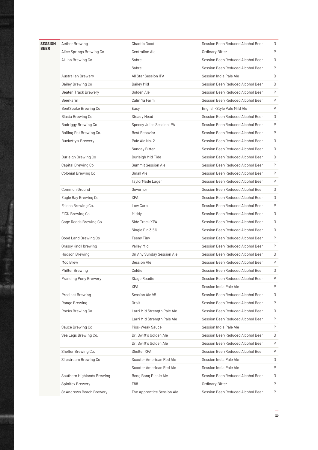| <b>SESSION</b> | Aether Brewing               | Chaotic Good                | Session Beer/Reduced Alcohol Beer | D |
|----------------|------------------------------|-----------------------------|-----------------------------------|---|
| <b>BEER</b>    | Alice Springs Brewing Co     | Centralian Ale              | Ordinary Bitter                   | P |
|                | All Inn Brewing Co           | Sabre                       | Session Beer/Reduced Alcohol Beer | D |
|                |                              | Sabre                       | Session Beer/Reduced Alcohol Beer | P |
|                | <b>Australian Brewery</b>    | All Star Session IPA        | Session India Pale Ale            | D |
|                | Bailey Brewing Co            | <b>Bailey Mid</b>           | Session Beer/Reduced Alcohol Beer | D |
|                | Beaten Track Brewery         | Golden Ale                  | Session Beer/Reduced Alcohol Beer | P |
|                | <b>BeerFarm</b>              | Calm Ya Farm                | Session Beer/Reduced Alcohol Beer | P |
|                | BentSpoke Brewing Co         | Easy                        | English-Style Pale Mild Ale       | P |
|                | Blasta Brewing Co            | Steady Head                 | Session Beer/Reduced Alcohol Beer | D |
|                | Bodriggy Brewing Co          | Speccy Juice Session IPA    | Session Beer/Reduced Alcohol Beer | P |
|                | Boiling Pot Brewing Co.      | Best Behavior               | Session Beer/Reduced Alcohol Beer | P |
|                | <b>Bucketty's Brewery</b>    | Pale Ale No. 2              | Session Beer/Reduced Alcohol Beer | D |
|                |                              | Sunday Bitter               | Session Beer/Reduced Alcohol Beer | D |
|                | Burleigh Brewing Co          | Burleigh Mid Tide           | Session Beer/Reduced Alcohol Beer | D |
|                | Capital Brewing Co           | Summit Session Ale          | Session Beer/Reduced Alcohol Beer | P |
|                | Colonial Brewing Co          | Small Ale                   | Session Beer/Reduced Alcohol Beer | P |
|                |                              | TaylorMade Lager            | Session Beer/Reduced Alcohol Beer | P |
|                | <b>Common Ground</b>         | Governor                    | Session Beer/Reduced Alcohol Beer | D |
|                | Eagle Bay Brewing Co         | <b>XPA</b>                  | Session Beer/Reduced Alcohol Beer | D |
|                | Felons Brewing Co.           | Low Carb                    | Session Beer/Reduced Alcohol Beer | P |
|                | FICK Brewing Co              | Middy                       | Session Beer/Reduced Alcohol Beer | D |
|                | Gage Roads Brewing Co        | Side Track XPA              | Session Beer/Reduced Alcohol Beer | D |
|                |                              | Single Fin 3.5%             | Session Beer/Reduced Alcohol Beer | D |
|                | Good Land Brewing Co         | <b>Teeny Tiny</b>           | Session Beer/Reduced Alcohol Beer | P |
|                | Grassy Knoll brewing         | Valley Mid                  | Session Beer/Reduced Alcohol Beer | P |
|                | Hudson Brewing               | On Any Sunday Session Ale   | Session Beer/Reduced Alcohol Beer | D |
|                | Moo Brew                     | Session Ale                 | Session Beer/Reduced Alcohol Beer | P |
|                | <b>Philter Brewing</b>       | Coldie                      | Session Beer/Reduced Alcohol Beer | D |
|                | <b>Prancing Pony Brewery</b> | Stage Roadie                | Session Beer/Reduced Alcohol Beer | Ρ |
|                |                              | <b>XPA</b>                  | Session India Pale Ale            | P |
|                | Precinct Brewing             | Session Ale V5              | Session Beer/Reduced Alcohol Beer | D |
|                | Range Brewing                | Orbit                       | Session Beer/Reduced Alcohol Beer | P |
|                | Rocks Brewing Co             | Larri Mid Strength Pale Ale | Session Beer/Reduced Alcohol Beer | D |
|                |                              | Larri Mid Strength Pale Ale | Session Beer/Reduced Alcohol Beer | P |
|                | Sauce Brewing Co             | Piss-Weak Sauce             | Session India Pale Ale            | P |
|                | Sea Legs Brewing Co.         | Dr. Swift's Golden Ale      | Session Beer/Reduced Alcohol Beer | D |
|                |                              | Dr. Swift's Golden Ale      | Session Beer/Reduced Alcohol Beer | P |
|                | Shelter Brewing Co.          | Shelter XPA                 | Session Beer/Reduced Alcohol Beer | P |
|                | Slipstream Brewing Co        | Scooter American Red Ale    | Session India Pale Ale            | D |
|                |                              | Scooter American Red Ale    | Session India Pale Ale            | P |
|                | Southern Highlands Brewing   | Bong Bong Picnic Ale        | Session Beer/Reduced Alcohol Beer | D |
|                | Spinifex Brewery             | F88                         | Ordinary Bitter                   | P |
|                | St Andrews Beach Brewery     | The Apprentice Session Ale  | Session Beer/Reduced Alcohol Beer | P |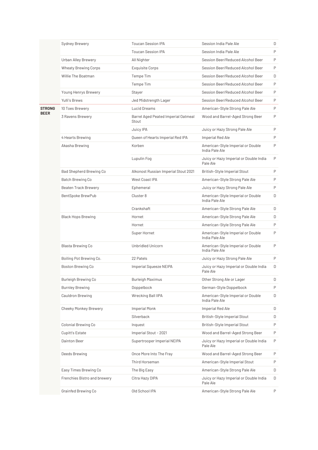|               | Sydney Brewery               | <b>Toucan Session IPA</b>                    | Session India Pale Ale                              | D |
|---------------|------------------------------|----------------------------------------------|-----------------------------------------------------|---|
|               |                              | <b>Toucan Session IPA</b>                    | Session India Pale Ale                              | P |
|               | Urban Alley Brewery          | All Nighter                                  | Session Beer/Reduced Alcohol Beer                   | P |
|               | Wheaty Brewing Corps         | Exquisite Corps                              | Session Beer/Reduced Alcohol Beer                   | P |
|               | Willie The Boatman           | Tempe Tim                                    | Session Beer/Reduced Alcohol Beer                   | D |
|               |                              | Tempe Tim                                    | Session Beer/Reduced Alcohol Beer                   | P |
|               | Young Henrys Brewery         | Stayer                                       | Session Beer/Reduced Alcohol Beer                   | P |
|               | Yulli's Brews                | Jed Midstrength Lager                        | Session Beer/Reduced Alcohol Beer                   | P |
| <b>STRONG</b> | 10 Toes Brewery              | Lucid Dreams                                 | American-Style Strong Pale Ale                      | P |
| <b>BEER</b>   | 3 Ravens Brewery             | Barrel Aged Peated Imperial Oatmeal<br>Stout | Wood and Barrel-Aged Strong Beer                    | P |
|               |                              | Juicy IPA                                    | Juicy or Hazy Strong Pale Ale                       | P |
|               | 4 Hearts Brewing             | Queen of Hearts Imperial Red IPA             | Imperial Red Ale                                    | P |
|               | Akasha Brewing               | Korben                                       | American-Style Imperial or Double<br>India Pale Ale | P |
|               |                              | Lupulin Fog                                  | Juicy or Hazy Imperial or Double India<br>Pale Ale  | P |
|               | Bad Shepherd Brewing Co      | Alkonost Russian Imperial Stout 2021         | British-Style Imperial Stout                        | P |
|               | Batch Brewing Co             | West Coast IPA                               | American-Style Strong Pale Ale                      | P |
|               | <b>Beaten Track Brewery</b>  | Ephemeral                                    | Juicy or Hazy Strong Pale Ale                       | P |
|               | BentSpoke BrewPub            | Cluster 8                                    | American-Style Imperial or Double<br>India Pale Ale | D |
|               |                              | Crankshaft                                   | American-Style Strong Pale Ale                      | D |
|               | <b>Black Hops Brewing</b>    | Hornet                                       | American-Style Strong Pale Ale                      | D |
|               |                              | Hornet                                       | American-Style Strong Pale Ale                      | P |
|               |                              | Super Hornet                                 | American-Style Imperial or Double<br>India Pale Ale | P |
|               | Blasta Brewing Co            | Unbridled Unicorn                            | American-Style Imperial or Double<br>India Pale Ale | P |
|               | Boiling Pot Brewing Co.      | 22 Patels                                    | Juicy or Hazy Strong Pale Ale                       | P |
|               | <b>Boston Brewing Co</b>     | Imperial Squeeze NEIPA                       | Juicy or Hazy Imperial or Double India<br>Pale Ale  | D |
|               | Burleigh Brewing Co          | Burleigh Maximus                             | Other Strong Ale or Lager                           | D |
|               | <b>Burnley Brewing</b>       | Doppelbock                                   | German-Style Doppelbock                             | P |
|               | Cauldron Brewing             | Wrecking Ball IIPA                           | American-Style Imperial or Double<br>India Pale Ale | D |
|               | <b>Cheeky Monkey Brewery</b> | <b>Imperial Monk</b>                         | Imperial Red Ale                                    | D |
|               |                              | Silverback                                   | British-Style Imperial Stout                        | D |
|               | Colonial Brewing Co          | Inquest                                      | British-Style Imperial Stout                        | P |
|               | Cupitt's Estate              | Imperial Stout - 2021                        | Wood and Barrel-Aged Strong Beer                    | P |
|               | Dainton Beer                 | Supertrooper Imperial NEIPA                  | Juicy or Hazy Imperial or Double India<br>Pale Ale  | P |
|               | Deeds Brewing                | Once More Into The Fray                      | Wood and Barrel-Aged Strong Beer                    | P |
|               |                              | Third Horseman                               | American-Style Imperial Stout                       | P |
|               | Easy Times Brewing Co        | The Big Easy                                 | American-Style Strong Pale Ale                      | D |
|               | Frenchies Bistro and brewery | Citra Hazy DIPA                              | Juicy or Hazy Imperial or Double India<br>Pale Ale  | D |
|               | Grainfed Brewing Co          | Old School IPA                               | American-Style Strong Pale Ale                      | P |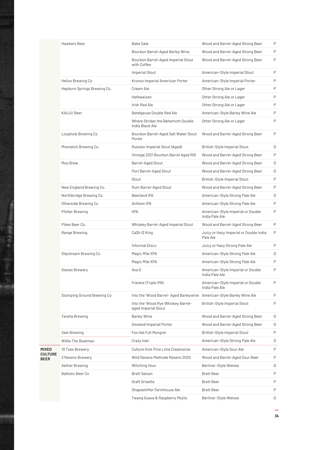|                        | Hawkers Beer                | <b>Bake Sale</b>                                                      | Wood and Barrel-Aged Strong Beer                    | P |
|------------------------|-----------------------------|-----------------------------------------------------------------------|-----------------------------------------------------|---|
|                        |                             | Bourbon Barrel-Aged Barley Wine                                       | Wood and Barrel-Aged Strong Beer                    | P |
|                        |                             | Bourbon Barrel-Aged Imperial Stout<br>with Coffee                     | Wood and Barrel-Aged Strong Beer                    | P |
|                        |                             | <b>Imperial Stout</b>                                                 | American-Style Imperial Stout                       | P |
|                        | Helios Brewing Co           | Kronos Imperial American Porter                                       | American-Style Imperial Porter                      | P |
|                        | Hepburn Springs Brewing Co. | Cream Ale                                                             | Other Strong Ale or Lager                           | P |
|                        |                             | Hefeweizen                                                            | Other Strong Ale or Lager                           | P |
|                        |                             | Irish Red Ale                                                         | Other Strong Ale or Lager                           | P |
|                        | KAIJU! Beer                 | Betelgeuse Double Red Ale                                             | American-Style Barley Wine Ale                      | P |
|                        |                             | Where Strides the Behemoth Double<br>India Black Ale                  | Other Strong Ale or Lager                           | P |
|                        | Loophole Brewing Co         | Bourbon Barrel-Aged Salt Water Stout<br>Porter                        | Wood and Barrel-Aged Strong Beer                    | P |
|                        | Mismatch Brewing Co.        | Russian Imperial Stout (Aged)                                         | British-Style Imperial Stout                        | D |
|                        |                             | Vintage 2021 Bourbon Barrel Aged RIS                                  | Wood and Barrel-Aged Strong Beer                    | P |
|                        | Moo Brew                    | Barrel-Aged Stout                                                     | Wood and Barrel-Aged Strong Beer                    | D |
|                        |                             | Port Barrel-Aged Stout                                                | Wood and Barrel-Aged Strong Beer                    | D |
|                        |                             | Stout                                                                 | British-Style Imperial Stout                        | P |
|                        | New England Brewing Co.     | Rum Barrel-Aged Stout                                                 | Wood and Barrel-Aged Strong Beer                    | P |
|                        | Northbridge Brewing Co.     | Beerland IPA                                                          | American-Style Strong Pale Ale                      | D |
|                        | Otherside Brewing Co        | Anthem IPA                                                            | American-Style Strong Pale Ale                      | P |
|                        | <b>Philter Brewing</b>      | <b>IIPA</b>                                                           | American-Style Imperial or Double<br>India Pale Ale | P |
|                        | Pikes Beer Co.              | Whiskey Barrel-Aged Imperial Stout                                    | Wood and Barrel-Aged Strong Beer                    | P |
|                        | Range Brewing               | Ca\$h I\$ King                                                        | Juicy or Hazy Imperial or Double India<br>Pale Ale  | P |
|                        |                             | Informal Disco                                                        | Juicy or Hazy Strong Pale Ale                       | P |
|                        | Slipstream Brewing Co       | Magic Mile XPA                                                        | American-Style Strong Pale Ale                      | D |
|                        |                             | Magic Mile XPA                                                        | American-Style Strong Pale Ale                      | P |
|                        | <b>Staves Brewery</b>       | Ava D                                                                 | American-Style Imperial or Double<br>India Pale Ale | P |
|                        |                             | Frankie (Triple IPA)                                                  | American-Style Imperial or Double<br>India Pale Ale | P |
|                        | Stomping Ground Brewing Co  | Into the 'Wood Barrel- Aged Barleywine American-Style Barley Wine Ale |                                                     | P |
|                        |                             | Into the 'Wood Rye Whiskey Barrel-<br>aged Imperial Stout             | British-Style Imperial Stout                        | P |
|                        | <b>Terella Brewing</b>      | <b>Barley Wine</b>                                                    | Wood and Barrel-Aged Strong Beer                    | D |
|                        |                             | Smoked Imperial Porter                                                | Wood and Barrel-Aged Strong Beer                    | D |
|                        | Vale Brewing                | Fox Hat Full Mongrel                                                  | British-Style Imperial Stout                        | P |
|                        | Willie The Boatman          | Crazy Ivan                                                            | American-Style Strong Pale Ale                      | D |
| MIXED                  | 10 Toes Brewery             | Culture Kick Pine Lime Creamsicle                                     | American-Style Sour Ale                             | P |
| <b>CULTURE</b><br>BEER | 3 Ravens Brewery            | Wild Ravens Methode Ravens 2020                                       | Wood and Barrel-Aged Sour Beer                      | P |
|                        | Aether Brewing              | Witching Hour                                                         | Berliner-Style Weisse                               | D |
|                        | <b>Ballistic Beer Co</b>    | <b>Brett Saison</b>                                                   | <b>Brett Beer</b>                                   | P |
|                        |                             | <b>Graft Grisette</b>                                                 | <b>Brett Beer</b>                                   | P |
|                        |                             | Shapeshifter Farmhouse Ale                                            | <b>Brett Beer</b>                                   | P |
|                        |                             | Twang Guava & Raspberry Mojito                                        | Berliner-Style Weisse                               | D |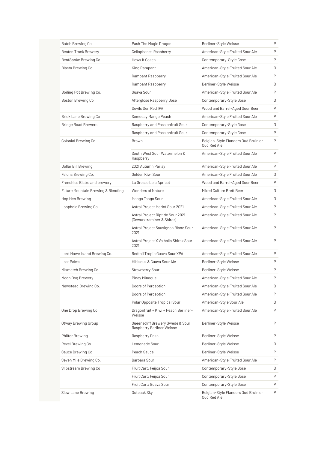| Batch Brewing Co                              | Pash The Magic Dragon                                         | Berliner-Style Weisse                              | P |
|-----------------------------------------------|---------------------------------------------------------------|----------------------------------------------------|---|
| Beaten Track Brewery                          | Cellophane-Raspberry                                          | American-Style Fruited Sour Ale                    | P |
| BentSpoke Brewing Co                          | Hows It Gosen                                                 | Contemporary-Style Gose                            | P |
| Blasta Brewing Co                             | King Rampant                                                  | American-Style Fruited Sour Ale                    | D |
|                                               | Rampant Raspberry                                             | American-Style Fruited Sour Ale                    | P |
|                                               | Rampant Raspberry                                             | Berliner-Style Weisse                              | D |
| Boiling Pot Brewing Co.                       | Guava Sour                                                    | American-Style Fruited Sour Ale                    | P |
| Boston Brewing Co                             | Afterglose Raspberry Gose                                     | Contemporary-Style Gose                            | D |
|                                               | Devils Den Red IPA                                            | Wood and Barrel-Aged Sour Beer                     | P |
| Brick Lane Brewing Co                         | Someday Mango Peach                                           | American-Style Fruited Sour Ale                    | P |
| <b>Bridge Road Brewers</b>                    | Raspberry and Passionfruit Sour                               | Contemporary-Style Gose                            | D |
|                                               | Raspberry and Passionfruit Sour                               | Contemporary-Style Gose                            | P |
| Colonial Brewing Co                           | Brown                                                         | Belgian-Style Flanders Oud Bruin or<br>Oud Red Ale | P |
|                                               | South West Sour Watermelon &<br>Raspberry                     | American-Style Fruited Sour Ale                    | P |
| Dollar Bill Brewing                           | 2021 Autumn Parlay                                            | American-Style Fruited Sour Ale                    | P |
| Felons Brewing Co.                            | Golden Kiwi Sour                                              | American-Style Fruited Sour Ale                    | D |
| Frenchies Bistro and brewery                  | La Grosse Lola Apricot                                        | Wood and Barrel-Aged Sour Beer                     | P |
| <b>Future Mountain Brewing &amp; Blending</b> | Wonders of Nature                                             | Mixed Culture Brett Beer                           | D |
| Hop Hen Brewing                               | Mango Tango Sour                                              | American-Style Fruited Sour Ale                    | D |
| Loophole Brewing Co                           | Astral Project Merlot Sour 2021                               | American-Style Fruited Sour Ale                    | P |
|                                               | Astral Project Riptide Sour 2021<br>(Gewurztraminer & Shiraz) | American-Style Fruited Sour Ale                    | P |
|                                               | Astral Project Sauvignon Blanc Sour<br>2021                   | American-Style Fruited Sour Ale                    | P |
|                                               | Astral Project X Valhalla Shiraz Sour<br>2021                 | American-Style Fruited Sour Ale                    | P |
| Lord Howe Island Brewing Co.                  | Redtail Tropic Guava Sour XPA                                 | American-Style Fruited Sour Ale                    | P |
| Lost Palms                                    | Hibiscus & Guava Sour Ale                                     | Berliner-Style Weisse                              | P |
| Mismatch Brewing Co.                          | Strawberry Sour                                               | Berliner-Style Weisse                              | P |
| Moon Dog Brewery                              | <b>Piney Minoque</b>                                          | American-Style Fruited Sour Ale                    | P |
| Newstead Brewing Co.                          | Doors of Perception                                           | American-Style Fruited Sour Ale                    | D |
|                                               | Doors of Perception                                           | American-Style Fruited Sour Ale                    | P |
|                                               | Polar Opposite Tropical Sour                                  | American-Style Sour Ale                            | D |
| One Drop Brewing Co                           | Dragonfruit + Kiwi + Peach Berliner-<br>Weisse                | American-Style Fruited Sour Ale                    | P |
| Otway Brewing Group                           | Queenscliff Brewery Swede & Sour<br>Raspberry Berliner Weisse | Berliner-Style Weisse                              | P |
| Philter Brewing                               | Raspberry Pash                                                | Berliner-Style Weisse                              | P |
| Revel Brewing Co                              | Lemonade Sour                                                 | Berliner-Style Weisse                              | D |
| Sauce Brewing Co                              | Peach Sauce                                                   | Berliner-Style Weisse                              | P |
| Seven Mile Brewing Co.                        | Barbara Sour                                                  | American-Style Fruited Sour Ale                    | P |
| Slipstream Brewing Co                         | Fruit Cart: Feijoa Sour                                       | Contemporary-Style Gose                            | D |
|                                               | Fruit Cart: Feijoa Sour                                       | Contemporary-Style Gose                            | P |
|                                               | Fruit Cart: Guava Sour                                        | Contemporary-Style Gose                            | P |
| Slow Lane Brewing                             | Outback Sky                                                   | Belgian-Style Flanders Oud Bruin or<br>Oud Red Ale | P |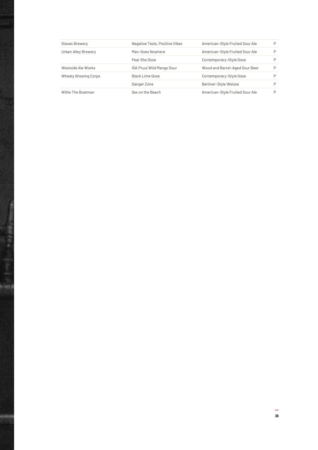| <b>Staves Brewery</b> | Negative Tests, Positive Vibes | American-Style Fruited Sour Ale | P |
|-----------------------|--------------------------------|---------------------------------|---|
| Urban Alley Brewery   | Man-Goes Nowhere               | American-Style Fruited Sour Ale | P |
|                       | Pear She Gose                  | Contemporary-Style Gose         |   |
| Westside Ale Works    | IDA Pruul Wild Mango Sour      | Wood and Barrel-Aged Sour Beer  | P |
| Wheaty Brewing Corps  | Black Lime Gose                | Contemporary-Style Gose         |   |
|                       | Danger Zone                    | Berliner-Style Weisse           |   |
| Willie The Boatman    | Sex on the Beach               | American-Style Fruited Sour Ale | ₽ |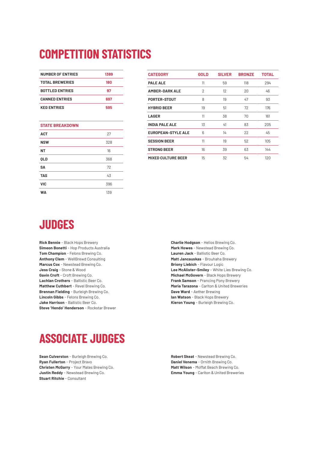# **COMPETITION STATISTICS**

| <b>NUMBER OF ENTRIES</b> | 1389 |  |  |
|--------------------------|------|--|--|
| <b>TOTAL BREWERIES</b>   | 180  |  |  |
| <b>BOTTLED ENTRIES</b>   | 97   |  |  |
| <b>CANNED ENTRIES</b>    | 697  |  |  |
| <b>KEG ENTRIES</b>       | 595  |  |  |
|                          |      |  |  |
| <b>STATE BREAKDOWN</b>   |      |  |  |
| <b>ACT</b>               | 27   |  |  |
| <b>NSW</b>               | 328  |  |  |
| NT                       | 16   |  |  |
| <b>OLD</b>               | 368  |  |  |
| SΑ                       | 72   |  |  |
| <b>TAS</b>               | 43   |  |  |
| <b>VIC</b>               | 396  |  |  |
| WA                       | 139  |  |  |

| <b>CATEGORY</b>           | <b>GOLD</b> | <b>SILVER</b> | <b>BRONZE</b> | <b>TOTAL</b> |
|---------------------------|-------------|---------------|---------------|--------------|
| <b>PALE ALE</b>           | 11          | 59            | 118           | 294          |
| <b>AMBER-DARK ALE</b>     | 2           | 12            | 20            | 46           |
| PORTER-STOUT              | 8           | 19            | 47            | 93           |
| <b>HYBRID BEER</b>        | 19          | 51            | 72            | 176          |
| <b>LAGER</b>              | 11          | 38            | 70            | 161          |
| <b>INDIA PALE ALE</b>     | 13          | 41            | 83            | 205          |
| <b>EUROPEAN-STYLE ALE</b> | 6           | 14            | 22            | 45           |
| <b>SESSION BEER</b>       | 11          | 19            | 52            | 105          |
| <b>STRONG BEER</b>        | 16          | 39            | 63            | 144          |
| <b>MIXED CULTURE BEER</b> | 15          | 32            | 54            | 120          |

# **JUDGES**

**Rick Bennie** - Black Hops Brewery **Simeon Bonetti** - Hop Products Australia **Tom Champion** - Felons Brewing Co. **Anthony Clem** - WellBrewd Consulting **Marcus Cox** - Newstead Brewing Co. **Jess Craig** - Stone & Wood **Gavin Croft** - Croft Brewing Co. **Lachlan Crothers** - Ballistic Beer Co. **Matthew Cuthbert** - Revel Brewing Co. **Brennan Fielding** - Burleigh Brewing Co. **Lincoln Gibbs** - Felons Brewing Co. **Jake Harrison** - Ballistic Beer Co. **Steve 'Hendo' Henderson** - Rockstar Brewer **Charlie Hodgson** - Helios Brewing Co. **Mark Howes** - Newstead Brewing Co. **Lauren Jack** - Ballistic Beer Co. **Matt Jancauskas** - Brouhaha Brewery **Briony Liebich** - Flavour Logic **Lee McAlister-Smiley** - White Lies Brewing Co. **Michael McGovern** - Black Hops Brewery **Frank Samson** - Prancing Pony Brewery **Maria Tarazona** - Carlton & United Breweries **Dave Ward** - Aether Brewing **Ian Watson** - Black Hops Brewery **Kieron Young** - Burleigh Brewing Co.

# **ASSOCIATE JUDGES**

**Sean Culverston** - Burleigh Brewing Co. **Ryan Fullerton** - Project Bravo **Christen McGarry** - Your Mates Brewing Co. **Justin Reddy** - Newstead Brewing Co. **Stuart Ritchie** - Consultant

**Robert Skeat** - Newstead Brewing Co. **Daniel Venema** - Ornith Brewing Co. **Matt Wilson** - Moffat Beach Brewing Co. **Emma Young** - Carlton & United Breweries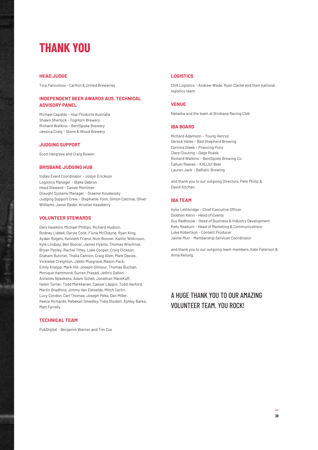### **THANK YOU**

#### **HEAD JUDGE**

Tina Panoutsos - Carlton & United Breweries

#### **INDEPENDENT BEER AWARDS AUS. TECHNICAL ADVISORY PANEL**

Michael Capaldo - Hop Products Australia Shawn Sherlock - FogHorn Brewery Richard Watkins - BentSpoke Brewery Jessica Craig - Stone & Wood Brewery

#### **JUDGING SUPPORT**

Scott Hargrave and Craig Bowen

#### **BRISBANE JUDGING HUB**

Indies Event Coordinator - Joslyn Erickson Logistics Manager - Blake Dabron Head Steward - Cassie Mortimer Draught Systems Manager - Graeme Kovalevsky Judging Support Crew - Stephanie Yoon, Simon Calcinai, Oliver Williams, Jason Bader, Kristian Keasberry

#### **VOLUNTEER STEWARDS**

Gary Hawkins, Michael Phillips, Richard Hudson, Rodney Liddell, Daryle Cook, Fiona McCheyne, Ryan King, Aydan Rogers, Kenneth Friend, Nick Bonner, Kaitlin Wilkinson, Kyle Lindsay, Ben Boorer, James Hyams, Thomas Wischnat, Bryan Penley, Rachel Titley, Luke Cooper, Craig Dickson, Graham Butcher, Thalia Cannon, Craig Allen, Mark Davies, Vickielee Creighton, Jakkii Musgrave, Mason Pack, Emily Kneipp, Mark Hill, Joseph Gilmour, Thomas Buchan, Monique Hammond, Surren Prasad, Jethro Dalton, Annelies Njieskens, Adam Schell, Jonathan MaceKaff, Helen Turner, Todd Markkanen, Caesar Lappin, Todd Harford, Martin Bradford, Jimmy Van Eetvelde, Mitch Carlin, Lucy Condon, Carl Thomas, Joseph Peka, Dan Miller, Reece Richards, Rebekah Smedley, Toby Stodart, Ashley Barka, Matt Farrelly

#### **TECHNICAL TEAM**

PubDigital - Benjamin Warren and Tim Cox

#### **LOGISTICS**

Chill Logistics - Andrew Wade, Ryan Clarke and their national logistics team

#### **VENUE**

Natasha and the team at Brisbane Racing Club

#### **IBA BOARD**

Richard Adamson – Young Henrys Dereck Hales – Bad Shepherd Brewing Corinna Steeb - Prancing Pony Clare Clouting – Gage Roads Richard Watkins - BentSpoke Brewing Co Callum Reeves – KAUJU! Beer Lauren Jack – Ballistic Brewing

and thank you to our outgoing Directors, Pete Philip & David Kitchen.

#### **IBA TEAM**

Kylie Lethbridge - Chief Executive Officer Siobhan Kerin - Head of Events Guy Redhouse - Head of Business & Industry Development Kelly Reaburn - Head of Marketing & Communications Luke Robertson - Content Producer Jaime Muir - Membership Services Coordinator

and thank you to our outgoing team members, Kate Paterson & Anna Reissig.

#### A HUGE THANK YOU TO OUR AMAZING VOLUNTEER TEAM. YOU ROCK!